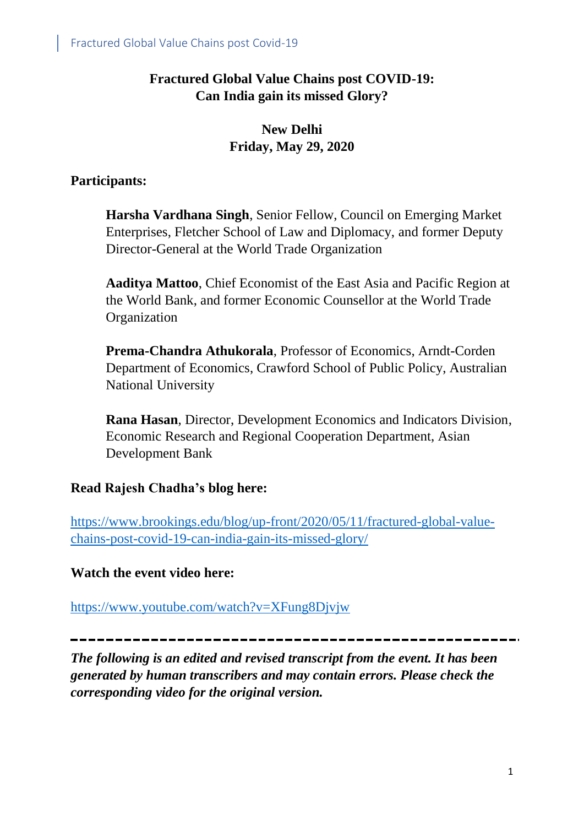## **Fractured Global Value Chains post COVID-19: Can India gain its missed Glory?**

# **New Delhi Friday, May 29, 2020**

#### **Participants:**

**Harsha Vardhana Singh**, Senior Fellow, Council on Emerging Market Enterprises, Fletcher School of Law and Diplomacy, and former Deputy Director-General at the World Trade Organization

**Aaditya Mattoo**, Chief Economist of the East Asia and Pacific Region at the World Bank, and former Economic Counsellor at the World Trade Organization

**Prema-Chandra Athukorala**, Professor of Economics, Arndt-Corden Department of Economics, Crawford School of Public Policy, Australian National University

**Rana Hasan**, Director, Development Economics and Indicators Division, Economic Research and Regional Cooperation Department, Asian Development Bank

# **Read Rajesh Chadha's blog here:**

[https://www.brookings.edu/blog/up-front/2020/05/11/fractured-global-value](https://www.brookings.edu/blog/up-front/2020/05/11/fractured-global-value-chains-post-covid-19-can-india-gain-its-missed-glory/)[chains-post-covid-19-can-india-gain-its-missed-glory/](https://www.brookings.edu/blog/up-front/2020/05/11/fractured-global-value-chains-post-covid-19-can-india-gain-its-missed-glory/)

#### **Watch the event video here:**

<https://www.youtube.com/watch?v=XFung8Djvjw>

*The following is an edited and revised transcript from the event. It has been generated by human transcribers and may contain errors. Please check the corresponding video for the original version.*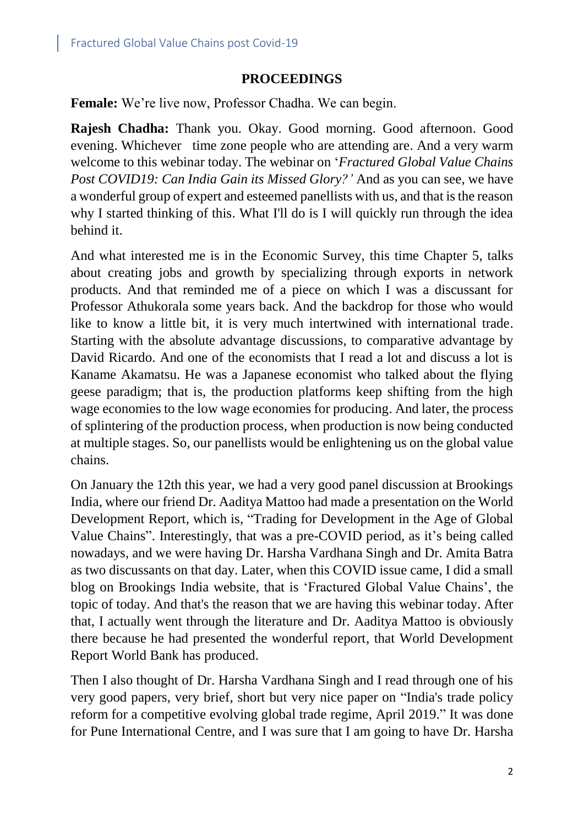#### **PROCEEDINGS**

**Female:** We're live now, Professor Chadha. We can begin.

**Rajesh Chadha:** Thank you. Okay. Good morning. Good afternoon. Good evening. Whichever time zone people who are attending are. And a very warm welcome to this webinar today. The webinar on '*Fractured Global Value Chains Post COVID19: Can India Gain its Missed Glory?'* And as you can see, we have a wonderful group of expert and esteemed panellists with us, and that is the reason why I started thinking of this. What I'll do is I will quickly run through the idea behind it.

And what interested me is in the Economic Survey, this time Chapter 5, talks about creating jobs and growth by specializing through exports in network products. And that reminded me of a piece on which I was a discussant for Professor Athukorala some years back. And the backdrop for those who would like to know a little bit, it is very much intertwined with international trade. Starting with the absolute advantage discussions, to comparative advantage by David Ricardo. And one of the economists that I read a lot and discuss a lot is Kaname Akamatsu. He was a Japanese economist who talked about the flying geese paradigm; that is, the production platforms keep shifting from the high wage economies to the low wage economies for producing. And later, the process of splintering of the production process, when production is now being conducted at multiple stages. So, our panellists would be enlightening us on the global value chains.

On January the 12th this year, we had a very good panel discussion at Brookings India, where our friend Dr. Aaditya Mattoo had made a presentation on the World Development Report, which is, "Trading for Development in the Age of Global Value Chains". Interestingly, that was a pre-COVID period, as it's being called nowadays, and we were having Dr. Harsha Vardhana Singh and Dr. Amita Batra as two discussants on that day. Later, when this COVID issue came, I did a small blog on Brookings India website, that is 'Fractured Global Value Chains', the topic of today. And that's the reason that we are having this webinar today. After that, I actually went through the literature and Dr. Aaditya Mattoo is obviously there because he had presented the wonderful report, that World Development Report World Bank has produced.

Then I also thought of Dr. Harsha Vardhana Singh and I read through one of his very good papers, very brief, short but very nice paper on "India's trade policy reform for a competitive evolving global trade regime, April 2019." It was done for Pune International Centre, and I was sure that I am going to have Dr. Harsha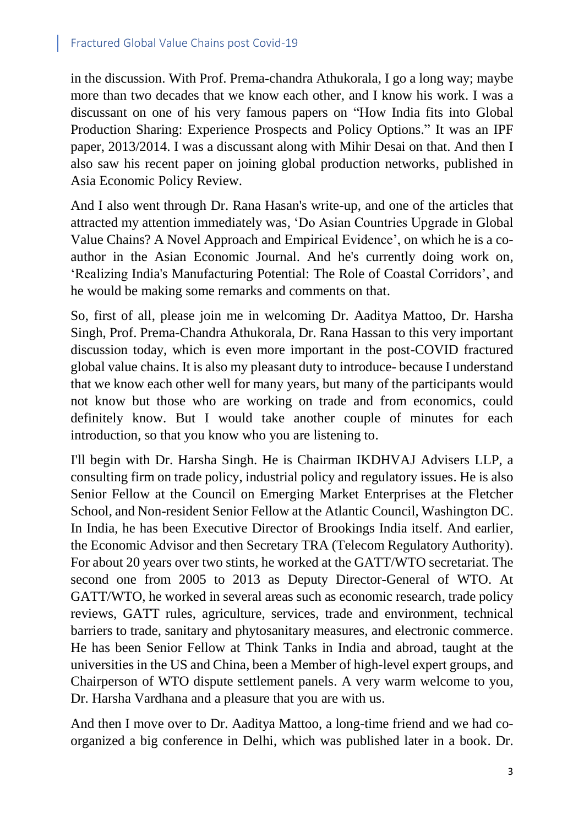in the discussion. With Prof. Prema-chandra Athukorala, I go a long way; maybe more than two decades that we know each other, and I know his work. I was a discussant on one of his very famous papers on "How India fits into Global Production Sharing: Experience Prospects and Policy Options." It was an IPF paper, 2013/2014. I was a discussant along with Mihir Desai on that. And then I also saw his recent paper on joining global production networks, published in Asia Economic Policy Review.

And I also went through Dr. Rana Hasan's write-up, and one of the articles that attracted my attention immediately was, 'Do Asian Countries Upgrade in Global Value Chains? A Novel Approach and Empirical Evidence', on which he is a coauthor in the Asian Economic Journal. And he's currently doing work on, 'Realizing India's Manufacturing Potential: The Role of Coastal Corridors', and he would be making some remarks and comments on that.

So, first of all, please join me in welcoming Dr. Aaditya Mattoo, Dr. Harsha Singh, Prof. Prema-Chandra Athukorala, Dr. Rana Hassan to this very important discussion today, which is even more important in the post-COVID fractured global value chains. It is also my pleasant duty to introduce- because I understand that we know each other well for many years, but many of the participants would not know but those who are working on trade and from economics, could definitely know. But I would take another couple of minutes for each introduction, so that you know who you are listening to.

I'll begin with Dr. Harsha Singh. He is Chairman IKDHVAJ Advisers LLP, a consulting firm on trade policy, industrial policy and regulatory issues. He is also Senior Fellow at the Council on Emerging Market Enterprises at the Fletcher School, and Non-resident Senior Fellow at the Atlantic Council, Washington DC. In India, he has been Executive Director of Brookings India itself. And earlier, the Economic Advisor and then Secretary TRA (Telecom Regulatory Authority). For about 20 years over two stints, he worked at the GATT/WTO secretariat. The second one from 2005 to 2013 as Deputy Director-General of WTO. At GATT/WTO, he worked in several areas such as economic research, trade policy reviews, GATT rules, agriculture, services, trade and environment, technical barriers to trade, sanitary and phytosanitary measures, and electronic commerce. He has been Senior Fellow at Think Tanks in India and abroad, taught at the universities in the US and China, been a Member of high-level expert groups, and Chairperson of WTO dispute settlement panels. A very warm welcome to you, Dr. Harsha Vardhana and a pleasure that you are with us.

And then I move over to Dr. Aaditya Mattoo, a long-time friend and we had coorganized a big conference in Delhi, which was published later in a book. Dr.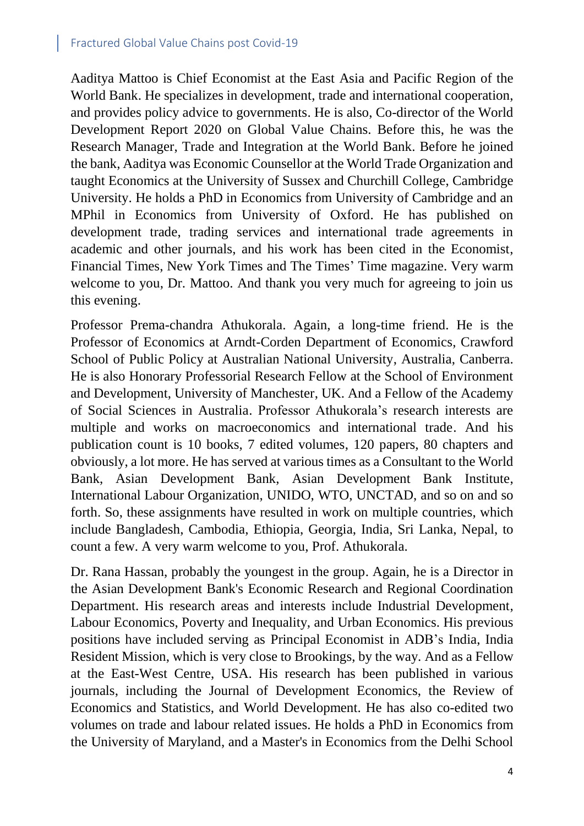Aaditya Mattoo is Chief Economist at the East Asia and Pacific Region of the World Bank. He specializes in development, trade and international cooperation, and provides policy advice to governments. He is also, Co-director of the World Development Report 2020 on Global Value Chains. Before this, he was the Research Manager, Trade and Integration at the World Bank. Before he joined the bank, Aaditya was Economic Counsellor at the World Trade Organization and taught Economics at the University of Sussex and Churchill College, Cambridge University. He holds a PhD in Economics from University of Cambridge and an MPhil in Economics from University of Oxford. He has published on development trade, trading services and international trade agreements in academic and other journals, and his work has been cited in the Economist, Financial Times, New York Times and The Times' Time magazine. Very warm welcome to you, Dr. Mattoo. And thank you very much for agreeing to join us this evening.

Professor Prema-chandra Athukorala. Again, a long-time friend. He is the Professor of Economics at Arndt-Corden Department of Economics, Crawford School of Public Policy at Australian National University, Australia, Canberra. He is also Honorary Professorial Research Fellow at the School of Environment and Development, University of Manchester, UK. And a Fellow of the Academy of Social Sciences in Australia. Professor Athukorala's research interests are multiple and works on macroeconomics and international trade. And his publication count is 10 books, 7 edited volumes, 120 papers, 80 chapters and obviously, a lot more. He has served at various times as a Consultant to the World Bank, Asian Development Bank, Asian Development Bank Institute, International Labour Organization, UNIDO, WTO, UNCTAD, and so on and so forth. So, these assignments have resulted in work on multiple countries, which include Bangladesh, Cambodia, Ethiopia, Georgia, India, Sri Lanka, Nepal, to count a few. A very warm welcome to you, Prof. Athukorala.

Dr. Rana Hassan, probably the youngest in the group. Again, he is a Director in the Asian Development Bank's Economic Research and Regional Coordination Department. His research areas and interests include Industrial Development, Labour Economics, Poverty and Inequality, and Urban Economics. His previous positions have included serving as Principal Economist in ADB's India, India Resident Mission, which is very close to Brookings, by the way. And as a Fellow at the East-West Centre, USA. His research has been published in various journals, including the Journal of Development Economics, the Review of Economics and Statistics, and World Development. He has also co-edited two volumes on trade and labour related issues. He holds a PhD in Economics from the University of Maryland, and a Master's in Economics from the Delhi School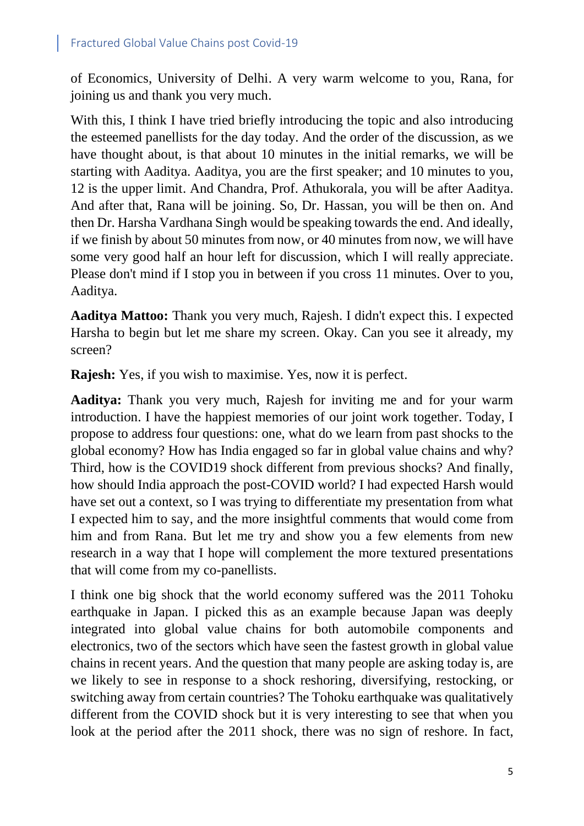of Economics, University of Delhi. A very warm welcome to you, Rana, for joining us and thank you very much.

With this, I think I have tried briefly introducing the topic and also introducing the esteemed panellists for the day today. And the order of the discussion, as we have thought about, is that about 10 minutes in the initial remarks, we will be starting with Aaditya. Aaditya, you are the first speaker; and 10 minutes to you, 12 is the upper limit. And Chandra, Prof. Athukorala, you will be after Aaditya. And after that, Rana will be joining. So, Dr. Hassan, you will be then on. And then Dr. Harsha Vardhana Singh would be speaking towards the end. And ideally, if we finish by about 50 minutes from now, or 40 minutes from now, we will have some very good half an hour left for discussion, which I will really appreciate. Please don't mind if I stop you in between if you cross 11 minutes. Over to you, Aaditya.

**Aaditya Mattoo:** Thank you very much, Rajesh. I didn't expect this. I expected Harsha to begin but let me share my screen. Okay. Can you see it already, my screen?

**Rajesh:** Yes, if you wish to maximise. Yes, now it is perfect.

**Aaditya:** Thank you very much, Rajesh for inviting me and for your warm introduction. I have the happiest memories of our joint work together. Today, I propose to address four questions: one, what do we learn from past shocks to the global economy? How has India engaged so far in global value chains and why? Third, how is the COVID19 shock different from previous shocks? And finally, how should India approach the post-COVID world? I had expected Harsh would have set out a context, so I was trying to differentiate my presentation from what I expected him to say, and the more insightful comments that would come from him and from Rana. But let me try and show you a few elements from new research in a way that I hope will complement the more textured presentations that will come from my co-panellists.

I think one big shock that the world economy suffered was the 2011 Tohoku earthquake in Japan. I picked this as an example because Japan was deeply integrated into global value chains for both automobile components and electronics, two of the sectors which have seen the fastest growth in global value chains in recent years. And the question that many people are asking today is, are we likely to see in response to a shock reshoring, diversifying, restocking, or switching away from certain countries? The Tohoku earthquake was qualitatively different from the COVID shock but it is very interesting to see that when you look at the period after the 2011 shock, there was no sign of reshore. In fact,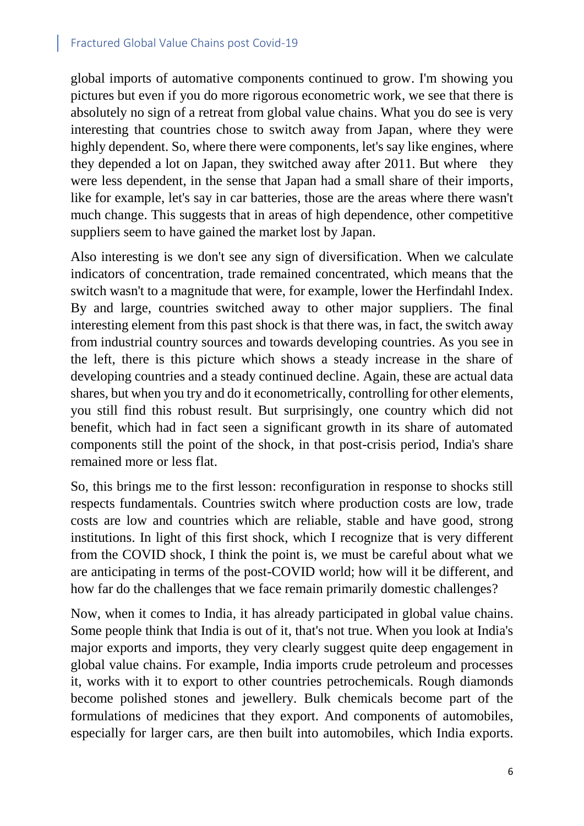global imports of automative components continued to grow. I'm showing you pictures but even if you do more rigorous econometric work, we see that there is absolutely no sign of a retreat from global value chains. What you do see is very interesting that countries chose to switch away from Japan, where they were highly dependent. So, where there were components, let's say like engines, where they depended a lot on Japan, they switched away after 2011. But where they were less dependent, in the sense that Japan had a small share of their imports, like for example, let's say in car batteries, those are the areas where there wasn't much change. This suggests that in areas of high dependence, other competitive suppliers seem to have gained the market lost by Japan.

Also interesting is we don't see any sign of diversification. When we calculate indicators of concentration, trade remained concentrated, which means that the switch wasn't to a magnitude that were, for example, lower the Herfindahl Index. By and large, countries switched away to other major suppliers. The final interesting element from this past shock is that there was, in fact, the switch away from industrial country sources and towards developing countries. As you see in the left, there is this picture which shows a steady increase in the share of developing countries and a steady continued decline. Again, these are actual data shares, but when you try and do it econometrically, controlling for other elements, you still find this robust result. But surprisingly, one country which did not benefit, which had in fact seen a significant growth in its share of automated components still the point of the shock, in that post-crisis period, India's share remained more or less flat.

So, this brings me to the first lesson: reconfiguration in response to shocks still respects fundamentals. Countries switch where production costs are low, trade costs are low and countries which are reliable, stable and have good, strong institutions. In light of this first shock, which I recognize that is very different from the COVID shock, I think the point is, we must be careful about what we are anticipating in terms of the post-COVID world; how will it be different, and how far do the challenges that we face remain primarily domestic challenges?

Now, when it comes to India, it has already participated in global value chains. Some people think that India is out of it, that's not true. When you look at India's major exports and imports, they very clearly suggest quite deep engagement in global value chains. For example, India imports crude petroleum and processes it, works with it to export to other countries petrochemicals. Rough diamonds become polished stones and jewellery. Bulk chemicals become part of the formulations of medicines that they export. And components of automobiles, especially for larger cars, are then built into automobiles, which India exports.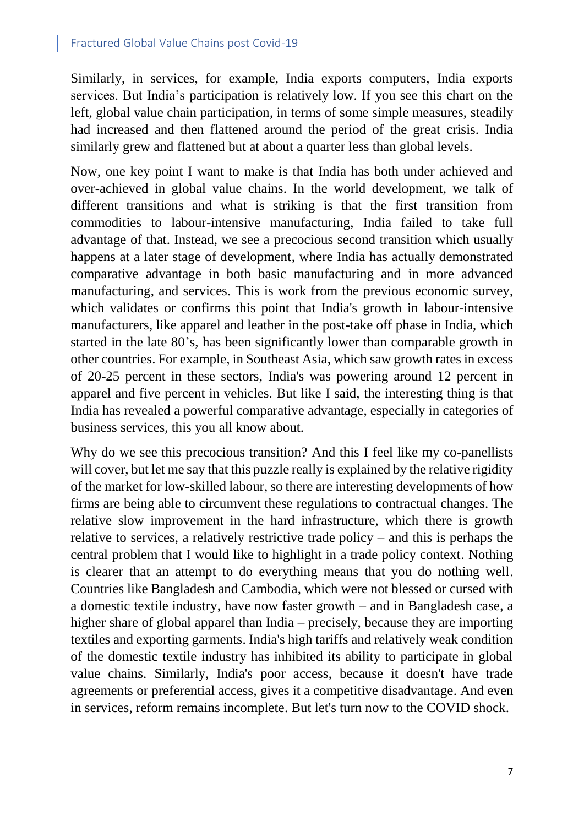Similarly, in services, for example, India exports computers, India exports services. But India's participation is relatively low. If you see this chart on the left, global value chain participation, in terms of some simple measures, steadily had increased and then flattened around the period of the great crisis. India similarly grew and flattened but at about a quarter less than global levels.

Now, one key point I want to make is that India has both under achieved and over-achieved in global value chains. In the world development, we talk of different transitions and what is striking is that the first transition from commodities to labour-intensive manufacturing, India failed to take full advantage of that. Instead, we see a precocious second transition which usually happens at a later stage of development, where India has actually demonstrated comparative advantage in both basic manufacturing and in more advanced manufacturing, and services. This is work from the previous economic survey, which validates or confirms this point that India's growth in labour-intensive manufacturers, like apparel and leather in the post-take off phase in India, which started in the late 80's, has been significantly lower than comparable growth in other countries. For example, in Southeast Asia, which saw growth rates in excess of 20-25 percent in these sectors, India's was powering around 12 percent in apparel and five percent in vehicles. But like I said, the interesting thing is that India has revealed a powerful comparative advantage, especially in categories of business services, this you all know about.

Why do we see this precocious transition? And this I feel like my co-panellists will cover, but let me say that this puzzle really is explained by the relative rigidity of the market for low-skilled labour, so there are interesting developments of how firms are being able to circumvent these regulations to contractual changes. The relative slow improvement in the hard infrastructure, which there is growth relative to services, a relatively restrictive trade policy – and this is perhaps the central problem that I would like to highlight in a trade policy context. Nothing is clearer that an attempt to do everything means that you do nothing well. Countries like Bangladesh and Cambodia, which were not blessed or cursed with a domestic textile industry, have now faster growth – and in Bangladesh case, a higher share of global apparel than India – precisely, because they are importing textiles and exporting garments. India's high tariffs and relatively weak condition of the domestic textile industry has inhibited its ability to participate in global value chains. Similarly, India's poor access, because it doesn't have trade agreements or preferential access, gives it a competitive disadvantage. And even in services, reform remains incomplete. But let's turn now to the COVID shock.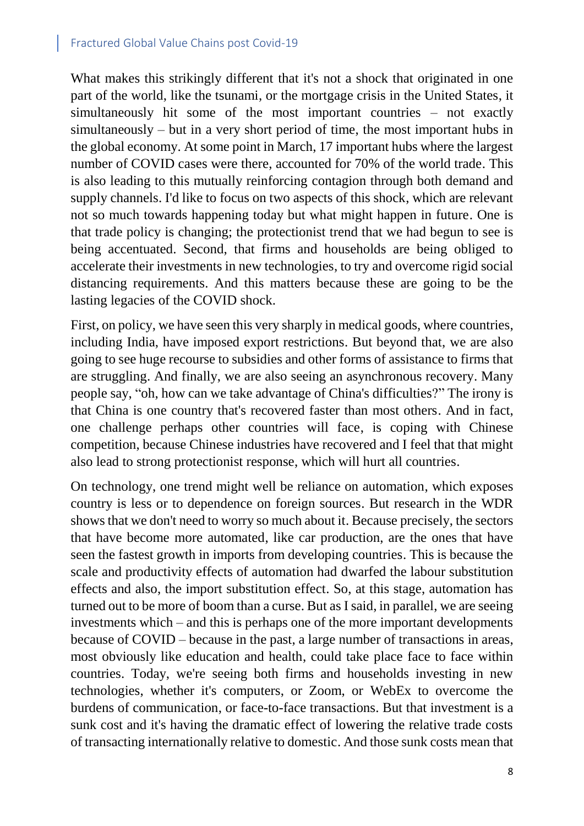What makes this strikingly different that it's not a shock that originated in one part of the world, like the tsunami, or the mortgage crisis in the United States, it simultaneously hit some of the most important countries – not exactly simultaneously – but in a very short period of time, the most important hubs in the global economy. At some point in March, 17 important hubs where the largest number of COVID cases were there, accounted for 70% of the world trade. This is also leading to this mutually reinforcing contagion through both demand and supply channels. I'd like to focus on two aspects of this shock, which are relevant not so much towards happening today but what might happen in future. One is that trade policy is changing; the protectionist trend that we had begun to see is being accentuated. Second, that firms and households are being obliged to accelerate their investments in new technologies, to try and overcome rigid social distancing requirements. And this matters because these are going to be the lasting legacies of the COVID shock.

First, on policy, we have seen this very sharply in medical goods, where countries, including India, have imposed export restrictions. But beyond that, we are also going to see huge recourse to subsidies and other forms of assistance to firms that are struggling. And finally, we are also seeing an asynchronous recovery. Many people say, "oh, how can we take advantage of China's difficulties?" The irony is that China is one country that's recovered faster than most others. And in fact, one challenge perhaps other countries will face, is coping with Chinese competition, because Chinese industries have recovered and I feel that that might also lead to strong protectionist response, which will hurt all countries.

On technology, one trend might well be reliance on automation, which exposes country is less or to dependence on foreign sources. But research in the WDR shows that we don't need to worry so much about it. Because precisely, the sectors that have become more automated, like car production, are the ones that have seen the fastest growth in imports from developing countries. This is because the scale and productivity effects of automation had dwarfed the labour substitution effects and also, the import substitution effect. So, at this stage, automation has turned out to be more of boom than a curse. But as I said, in parallel, we are seeing investments which – and this is perhaps one of the more important developments because of COVID – because in the past, a large number of transactions in areas, most obviously like education and health, could take place face to face within countries. Today, we're seeing both firms and households investing in new technologies, whether it's computers, or Zoom, or WebEx to overcome the burdens of communication, or face-to-face transactions. But that investment is a sunk cost and it's having the dramatic effect of lowering the relative trade costs of transacting internationally relative to domestic. And those sunk costs mean that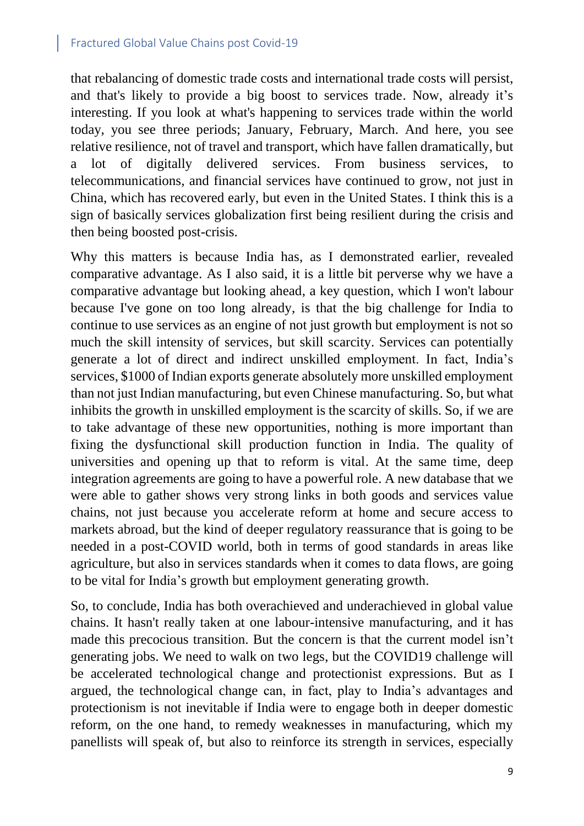that rebalancing of domestic trade costs and international trade costs will persist, and that's likely to provide a big boost to services trade. Now, already it's interesting. If you look at what's happening to services trade within the world today, you see three periods; January, February, March. And here, you see relative resilience, not of travel and transport, which have fallen dramatically, but a lot of digitally delivered services. From business services, to telecommunications, and financial services have continued to grow, not just in China, which has recovered early, but even in the United States. I think this is a sign of basically services globalization first being resilient during the crisis and then being boosted post-crisis.

Why this matters is because India has, as I demonstrated earlier, revealed comparative advantage. As I also said, it is a little bit perverse why we have a comparative advantage but looking ahead, a key question, which I won't labour because I've gone on too long already, is that the big challenge for India to continue to use services as an engine of not just growth but employment is not so much the skill intensity of services, but skill scarcity. Services can potentially generate a lot of direct and indirect unskilled employment. In fact, India's services, \$1000 of Indian exports generate absolutely more unskilled employment than not just Indian manufacturing, but even Chinese manufacturing. So, but what inhibits the growth in unskilled employment is the scarcity of skills. So, if we are to take advantage of these new opportunities, nothing is more important than fixing the dysfunctional skill production function in India. The quality of universities and opening up that to reform is vital. At the same time, deep integration agreements are going to have a powerful role. A new database that we were able to gather shows very strong links in both goods and services value chains, not just because you accelerate reform at home and secure access to markets abroad, but the kind of deeper regulatory reassurance that is going to be needed in a post-COVID world, both in terms of good standards in areas like agriculture, but also in services standards when it comes to data flows, are going to be vital for India's growth but employment generating growth.

So, to conclude, India has both overachieved and underachieved in global value chains. It hasn't really taken at one labour-intensive manufacturing, and it has made this precocious transition. But the concern is that the current model isn't generating jobs. We need to walk on two legs, but the COVID19 challenge will be accelerated technological change and protectionist expressions. But as I argued, the technological change can, in fact, play to India's advantages and protectionism is not inevitable if India were to engage both in deeper domestic reform, on the one hand, to remedy weaknesses in manufacturing, which my panellists will speak of, but also to reinforce its strength in services, especially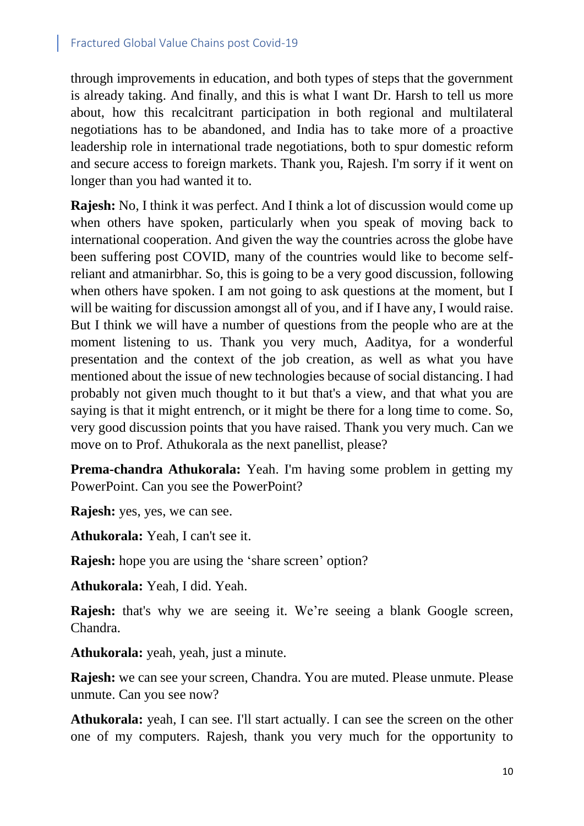through improvements in education, and both types of steps that the government is already taking. And finally, and this is what I want Dr. Harsh to tell us more about, how this recalcitrant participation in both regional and multilateral negotiations has to be abandoned, and India has to take more of a proactive leadership role in international trade negotiations, both to spur domestic reform and secure access to foreign markets. Thank you, Rajesh. I'm sorry if it went on longer than you had wanted it to.

**Rajesh:** No, I think it was perfect. And I think a lot of discussion would come up when others have spoken, particularly when you speak of moving back to international cooperation. And given the way the countries across the globe have been suffering post COVID, many of the countries would like to become selfreliant and atmanirbhar. So, this is going to be a very good discussion, following when others have spoken. I am not going to ask questions at the moment, but I will be waiting for discussion amongst all of you, and if I have any, I would raise. But I think we will have a number of questions from the people who are at the moment listening to us. Thank you very much, Aaditya, for a wonderful presentation and the context of the job creation, as well as what you have mentioned about the issue of new technologies because of social distancing. I had probably not given much thought to it but that's a view, and that what you are saying is that it might entrench, or it might be there for a long time to come. So, very good discussion points that you have raised. Thank you very much. Can we move on to Prof. Athukorala as the next panellist, please?

**Prema-chandra Athukorala:** Yeah. I'm having some problem in getting my PowerPoint. Can you see the PowerPoint?

**Rajesh:** yes, yes, we can see.

**Athukorala:** Yeah, I can't see it.

**Rajesh:** hope you are using the 'share screen' option?

**Athukorala:** Yeah, I did. Yeah.

**Rajesh:** that's why we are seeing it. We're seeing a blank Google screen, Chandra.

**Athukorala:** yeah, yeah, just a minute.

**Rajesh:** we can see your screen, Chandra. You are muted. Please unmute. Please unmute. Can you see now?

**Athukorala:** yeah, I can see. I'll start actually. I can see the screen on the other one of my computers. Rajesh, thank you very much for the opportunity to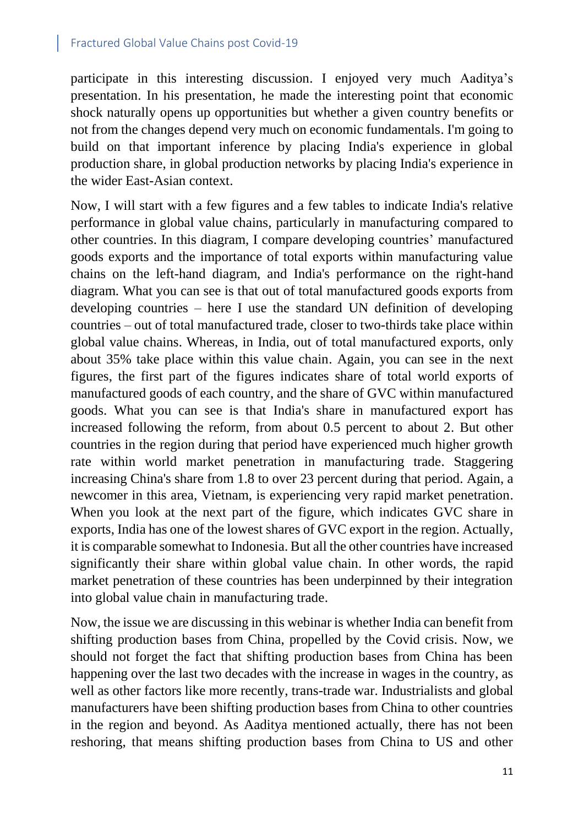participate in this interesting discussion. I enjoyed very much Aaditya's presentation. In his presentation, he made the interesting point that economic shock naturally opens up opportunities but whether a given country benefits or not from the changes depend very much on economic fundamentals. I'm going to build on that important inference by placing India's experience in global production share, in global production networks by placing India's experience in the wider East-Asian context.

Now, I will start with a few figures and a few tables to indicate India's relative performance in global value chains, particularly in manufacturing compared to other countries. In this diagram, I compare developing countries' manufactured goods exports and the importance of total exports within manufacturing value chains on the left-hand diagram, and India's performance on the right-hand diagram. What you can see is that out of total manufactured goods exports from developing countries – here I use the standard UN definition of developing countries – out of total manufactured trade, closer to two-thirds take place within global value chains. Whereas, in India, out of total manufactured exports, only about 35% take place within this value chain. Again, you can see in the next figures, the first part of the figures indicates share of total world exports of manufactured goods of each country, and the share of GVC within manufactured goods. What you can see is that India's share in manufactured export has increased following the reform, from about 0.5 percent to about 2. But other countries in the region during that period have experienced much higher growth rate within world market penetration in manufacturing trade. Staggering increasing China's share from 1.8 to over 23 percent during that period. Again, a newcomer in this area, Vietnam, is experiencing very rapid market penetration. When you look at the next part of the figure, which indicates GVC share in exports, India has one of the lowest shares of GVC export in the region. Actually, it is comparable somewhat to Indonesia. But all the other countries have increased significantly their share within global value chain. In other words, the rapid market penetration of these countries has been underpinned by their integration into global value chain in manufacturing trade.

Now, the issue we are discussing in this webinar is whether India can benefit from shifting production bases from China, propelled by the Covid crisis. Now, we should not forget the fact that shifting production bases from China has been happening over the last two decades with the increase in wages in the country, as well as other factors like more recently, trans-trade war. Industrialists and global manufacturers have been shifting production bases from China to other countries in the region and beyond. As Aaditya mentioned actually, there has not been reshoring, that means shifting production bases from China to US and other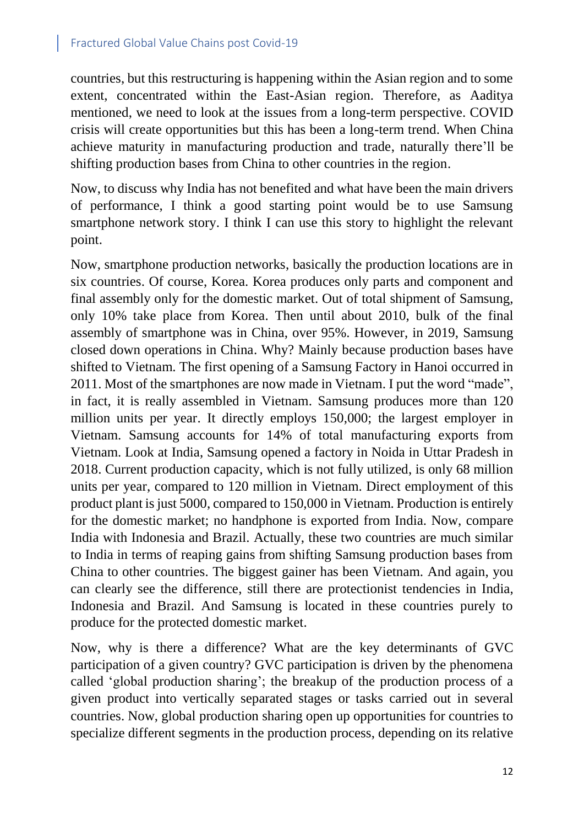countries, but this restructuring is happening within the Asian region and to some extent, concentrated within the East-Asian region. Therefore, as Aaditya mentioned, we need to look at the issues from a long-term perspective. COVID crisis will create opportunities but this has been a long-term trend. When China achieve maturity in manufacturing production and trade, naturally there'll be shifting production bases from China to other countries in the region.

Now, to discuss why India has not benefited and what have been the main drivers of performance, I think a good starting point would be to use Samsung smartphone network story. I think I can use this story to highlight the relevant point.

Now, smartphone production networks, basically the production locations are in six countries. Of course, Korea. Korea produces only parts and component and final assembly only for the domestic market. Out of total shipment of Samsung, only 10% take place from Korea. Then until about 2010, bulk of the final assembly of smartphone was in China, over 95%. However, in 2019, Samsung closed down operations in China. Why? Mainly because production bases have shifted to Vietnam. The first opening of a Samsung Factory in Hanoi occurred in 2011. Most of the smartphones are now made in Vietnam. I put the word "made", in fact, it is really assembled in Vietnam. Samsung produces more than 120 million units per year. It directly employs 150,000; the largest employer in Vietnam. Samsung accounts for 14% of total manufacturing exports from Vietnam. Look at India, Samsung opened a factory in Noida in Uttar Pradesh in 2018. Current production capacity, which is not fully utilized, is only 68 million units per year, compared to 120 million in Vietnam. Direct employment of this product plant is just 5000, compared to 150,000 in Vietnam. Production is entirely for the domestic market; no handphone is exported from India. Now, compare India with Indonesia and Brazil. Actually, these two countries are much similar to India in terms of reaping gains from shifting Samsung production bases from China to other countries. The biggest gainer has been Vietnam. And again, you can clearly see the difference, still there are protectionist tendencies in India, Indonesia and Brazil. And Samsung is located in these countries purely to produce for the protected domestic market.

Now, why is there a difference? What are the key determinants of GVC participation of a given country? GVC participation is driven by the phenomena called 'global production sharing'; the breakup of the production process of a given product into vertically separated stages or tasks carried out in several countries. Now, global production sharing open up opportunities for countries to specialize different segments in the production process, depending on its relative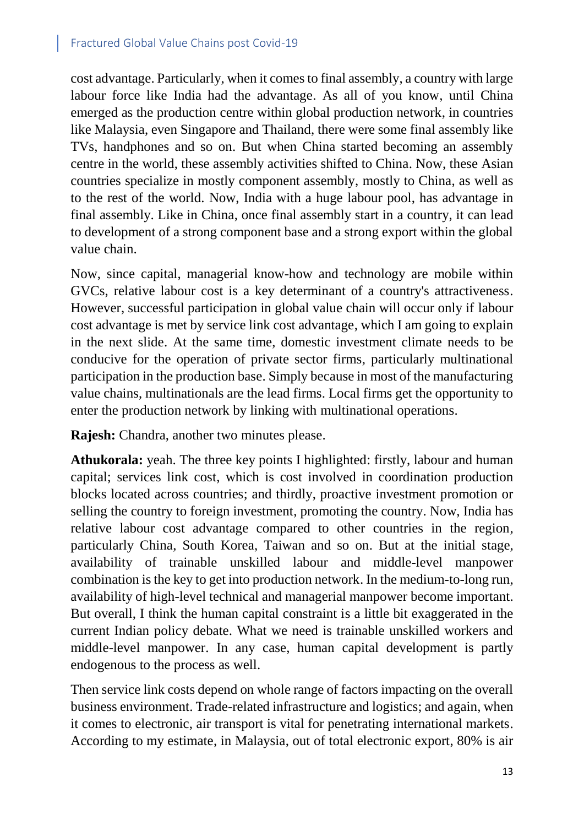cost advantage. Particularly, when it comesto final assembly, a country with large labour force like India had the advantage. As all of you know, until China emerged as the production centre within global production network, in countries like Malaysia, even Singapore and Thailand, there were some final assembly like TVs, handphones and so on. But when China started becoming an assembly centre in the world, these assembly activities shifted to China. Now, these Asian countries specialize in mostly component assembly, mostly to China, as well as to the rest of the world. Now, India with a huge labour pool, has advantage in final assembly. Like in China, once final assembly start in a country, it can lead to development of a strong component base and a strong export within the global value chain.

Now, since capital, managerial know-how and technology are mobile within GVCs, relative labour cost is a key determinant of a country's attractiveness. However, successful participation in global value chain will occur only if labour cost advantage is met by service link cost advantage, which I am going to explain in the next slide. At the same time, domestic investment climate needs to be conducive for the operation of private sector firms, particularly multinational participation in the production base. Simply because in most of the manufacturing value chains, multinationals are the lead firms. Local firms get the opportunity to enter the production network by linking with multinational operations.

**Rajesh:** Chandra, another two minutes please.

**Athukorala:** yeah. The three key points I highlighted: firstly, labour and human capital; services link cost, which is cost involved in coordination production blocks located across countries; and thirdly, proactive investment promotion or selling the country to foreign investment, promoting the country. Now, India has relative labour cost advantage compared to other countries in the region, particularly China, South Korea, Taiwan and so on. But at the initial stage, availability of trainable unskilled labour and middle-level manpower combination is the key to get into production network. In the medium-to-long run, availability of high-level technical and managerial manpower become important. But overall, I think the human capital constraint is a little bit exaggerated in the current Indian policy debate. What we need is trainable unskilled workers and middle-level manpower. In any case, human capital development is partly endogenous to the process as well.

Then service link costs depend on whole range of factors impacting on the overall business environment. Trade-related infrastructure and logistics; and again, when it comes to electronic, air transport is vital for penetrating international markets. According to my estimate, in Malaysia, out of total electronic export, 80% is air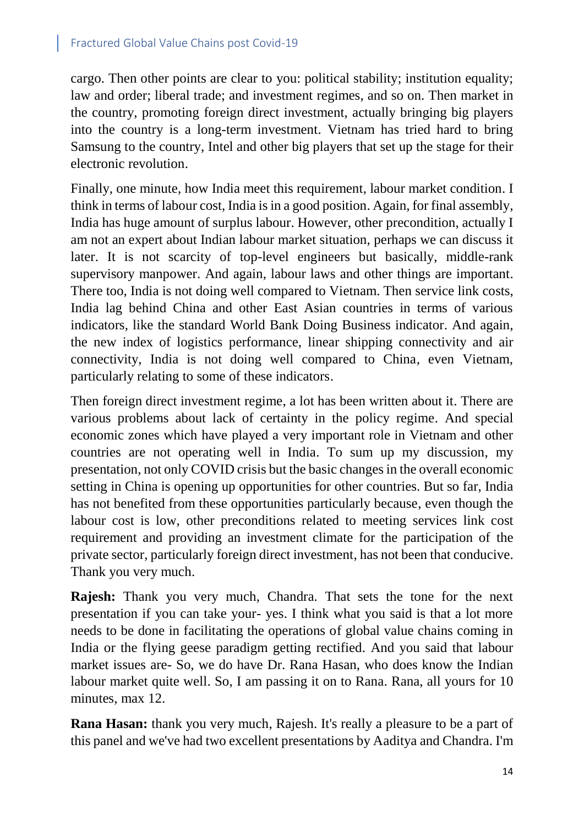cargo. Then other points are clear to you: political stability; institution equality; law and order; liberal trade; and investment regimes, and so on. Then market in the country, promoting foreign direct investment, actually bringing big players into the country is a long-term investment. Vietnam has tried hard to bring Samsung to the country, Intel and other big players that set up the stage for their electronic revolution.

Finally, one minute, how India meet this requirement, labour market condition. I think in terms of labour cost, India is in a good position. Again, for final assembly, India has huge amount of surplus labour. However, other precondition, actually I am not an expert about Indian labour market situation, perhaps we can discuss it later. It is not scarcity of top-level engineers but basically, middle-rank supervisory manpower. And again, labour laws and other things are important. There too, India is not doing well compared to Vietnam. Then service link costs, India lag behind China and other East Asian countries in terms of various indicators, like the standard World Bank Doing Business indicator. And again, the new index of logistics performance, linear shipping connectivity and air connectivity, India is not doing well compared to China, even Vietnam, particularly relating to some of these indicators.

Then foreign direct investment regime, a lot has been written about it. There are various problems about lack of certainty in the policy regime. And special economic zones which have played a very important role in Vietnam and other countries are not operating well in India. To sum up my discussion, my presentation, not only COVID crisis but the basic changes in the overall economic setting in China is opening up opportunities for other countries. But so far, India has not benefited from these opportunities particularly because, even though the labour cost is low, other preconditions related to meeting services link cost requirement and providing an investment climate for the participation of the private sector, particularly foreign direct investment, has not been that conducive. Thank you very much.

**Rajesh:** Thank you very much, Chandra. That sets the tone for the next presentation if you can take your- yes. I think what you said is that a lot more needs to be done in facilitating the operations of global value chains coming in India or the flying geese paradigm getting rectified. And you said that labour market issues are- So, we do have Dr. Rana Hasan, who does know the Indian labour market quite well. So, I am passing it on to Rana. Rana, all yours for 10 minutes, max 12.

**Rana Hasan:** thank you very much, Rajesh. It's really a pleasure to be a part of this panel and we've had two excellent presentations by Aaditya and Chandra. I'm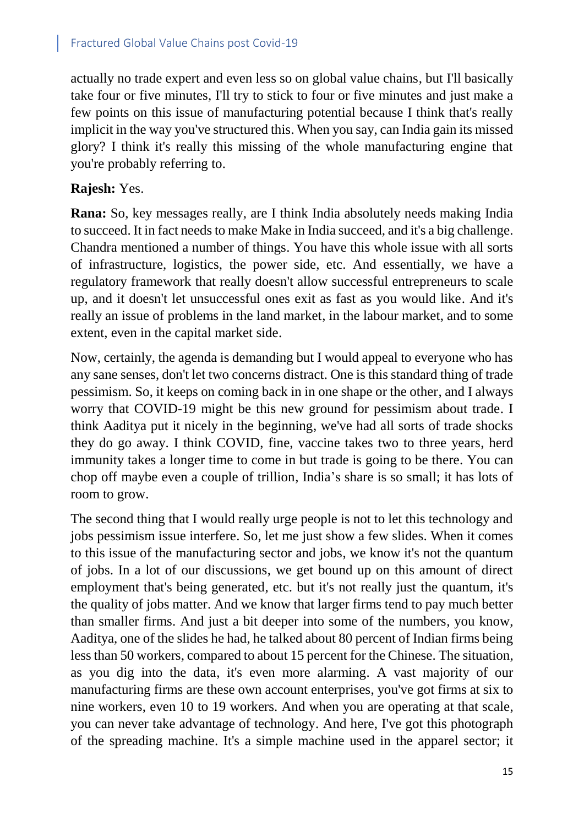actually no trade expert and even less so on global value chains, but I'll basically take four or five minutes, I'll try to stick to four or five minutes and just make a few points on this issue of manufacturing potential because I think that's really implicit in the way you've structured this. When you say, can India gain its missed glory? I think it's really this missing of the whole manufacturing engine that you're probably referring to.

### **Rajesh:** Yes.

**Rana:** So, key messages really, are I think India absolutely needs making India to succeed. It in fact needs to make Make in India succeed, and it's a big challenge. Chandra mentioned a number of things. You have this whole issue with all sorts of infrastructure, logistics, the power side, etc. And essentially, we have a regulatory framework that really doesn't allow successful entrepreneurs to scale up, and it doesn't let unsuccessful ones exit as fast as you would like. And it's really an issue of problems in the land market, in the labour market, and to some extent, even in the capital market side.

Now, certainly, the agenda is demanding but I would appeal to everyone who has any sane senses, don't let two concerns distract. One is this standard thing of trade pessimism. So, it keeps on coming back in in one shape or the other, and I always worry that COVID-19 might be this new ground for pessimism about trade. I think Aaditya put it nicely in the beginning, we've had all sorts of trade shocks they do go away. I think COVID, fine, vaccine takes two to three years, herd immunity takes a longer time to come in but trade is going to be there. You can chop off maybe even a couple of trillion, India's share is so small; it has lots of room to grow.

The second thing that I would really urge people is not to let this technology and jobs pessimism issue interfere. So, let me just show a few slides. When it comes to this issue of the manufacturing sector and jobs, we know it's not the quantum of jobs. In a lot of our discussions, we get bound up on this amount of direct employment that's being generated, etc. but it's not really just the quantum, it's the quality of jobs matter. And we know that larger firms tend to pay much better than smaller firms. And just a bit deeper into some of the numbers, you know, Aaditya, one of the slides he had, he talked about 80 percent of Indian firms being less than 50 workers, compared to about 15 percent for the Chinese. The situation, as you dig into the data, it's even more alarming. A vast majority of our manufacturing firms are these own account enterprises, you've got firms at six to nine workers, even 10 to 19 workers. And when you are operating at that scale, you can never take advantage of technology. And here, I've got this photograph of the spreading machine. It's a simple machine used in the apparel sector; it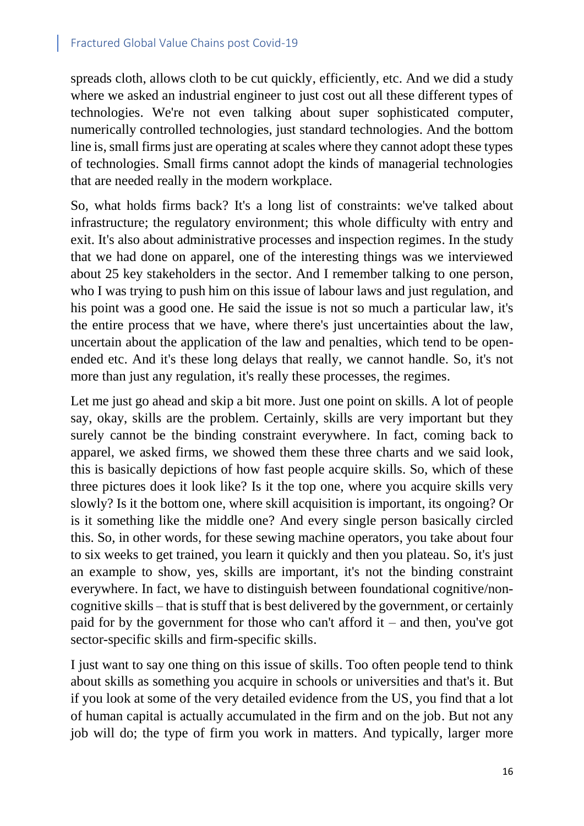spreads cloth, allows cloth to be cut quickly, efficiently, etc. And we did a study where we asked an industrial engineer to just cost out all these different types of technologies. We're not even talking about super sophisticated computer, numerically controlled technologies, just standard technologies. And the bottom line is, small firms just are operating at scales where they cannot adopt these types of technologies. Small firms cannot adopt the kinds of managerial technologies that are needed really in the modern workplace.

So, what holds firms back? It's a long list of constraints: we've talked about infrastructure; the regulatory environment; this whole difficulty with entry and exit. It's also about administrative processes and inspection regimes. In the study that we had done on apparel, one of the interesting things was we interviewed about 25 key stakeholders in the sector. And I remember talking to one person, who I was trying to push him on this issue of labour laws and just regulation, and his point was a good one. He said the issue is not so much a particular law, it's the entire process that we have, where there's just uncertainties about the law, uncertain about the application of the law and penalties, which tend to be openended etc. And it's these long delays that really, we cannot handle. So, it's not more than just any regulation, it's really these processes, the regimes.

Let me just go ahead and skip a bit more. Just one point on skills. A lot of people say, okay, skills are the problem. Certainly, skills are very important but they surely cannot be the binding constraint everywhere. In fact, coming back to apparel, we asked firms, we showed them these three charts and we said look, this is basically depictions of how fast people acquire skills. So, which of these three pictures does it look like? Is it the top one, where you acquire skills very slowly? Is it the bottom one, where skill acquisition is important, its ongoing? Or is it something like the middle one? And every single person basically circled this. So, in other words, for these sewing machine operators, you take about four to six weeks to get trained, you learn it quickly and then you plateau. So, it's just an example to show, yes, skills are important, it's not the binding constraint everywhere. In fact, we have to distinguish between foundational cognitive/noncognitive skills – that is stuff that is best delivered by the government, or certainly paid for by the government for those who can't afford it – and then, you've got sector-specific skills and firm-specific skills.

I just want to say one thing on this issue of skills. Too often people tend to think about skills as something you acquire in schools or universities and that's it. But if you look at some of the very detailed evidence from the US, you find that a lot of human capital is actually accumulated in the firm and on the job. But not any job will do; the type of firm you work in matters. And typically, larger more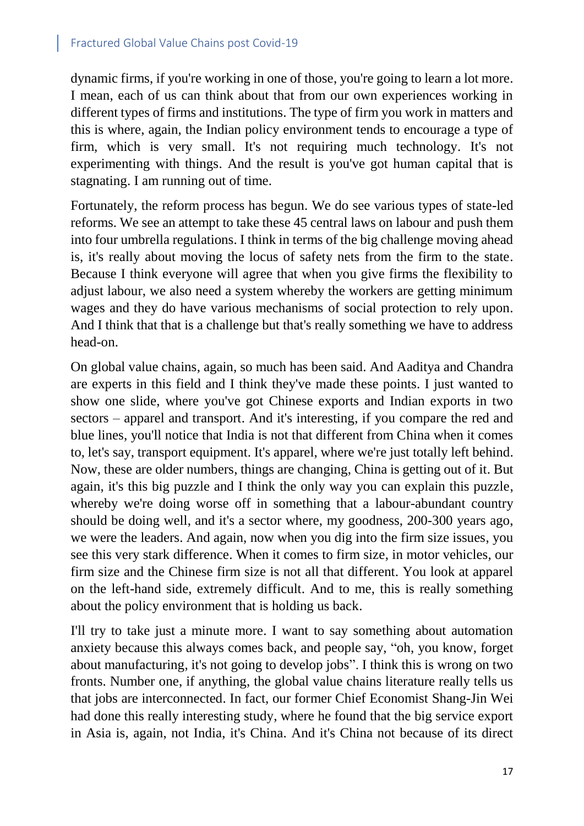dynamic firms, if you're working in one of those, you're going to learn a lot more. I mean, each of us can think about that from our own experiences working in different types of firms and institutions. The type of firm you work in matters and this is where, again, the Indian policy environment tends to encourage a type of firm, which is very small. It's not requiring much technology. It's not experimenting with things. And the result is you've got human capital that is stagnating. I am running out of time.

Fortunately, the reform process has begun. We do see various types of state-led reforms. We see an attempt to take these 45 central laws on labour and push them into four umbrella regulations. I think in terms of the big challenge moving ahead is, it's really about moving the locus of safety nets from the firm to the state. Because I think everyone will agree that when you give firms the flexibility to adjust labour, we also need a system whereby the workers are getting minimum wages and they do have various mechanisms of social protection to rely upon. And I think that that is a challenge but that's really something we have to address head-on.

On global value chains, again, so much has been said. And Aaditya and Chandra are experts in this field and I think they've made these points. I just wanted to show one slide, where you've got Chinese exports and Indian exports in two sectors – apparel and transport. And it's interesting, if you compare the red and blue lines, you'll notice that India is not that different from China when it comes to, let's say, transport equipment. It's apparel, where we're just totally left behind. Now, these are older numbers, things are changing, China is getting out of it. But again, it's this big puzzle and I think the only way you can explain this puzzle, whereby we're doing worse off in something that a labour-abundant country should be doing well, and it's a sector where, my goodness, 200-300 years ago, we were the leaders. And again, now when you dig into the firm size issues, you see this very stark difference. When it comes to firm size, in motor vehicles, our firm size and the Chinese firm size is not all that different. You look at apparel on the left-hand side, extremely difficult. And to me, this is really something about the policy environment that is holding us back.

I'll try to take just a minute more. I want to say something about automation anxiety because this always comes back, and people say, "oh, you know, forget about manufacturing, it's not going to develop jobs". I think this is wrong on two fronts. Number one, if anything, the global value chains literature really tells us that jobs are interconnected. In fact, our former Chief Economist Shang-Jin Wei had done this really interesting study, where he found that the big service export in Asia is, again, not India, it's China. And it's China not because of its direct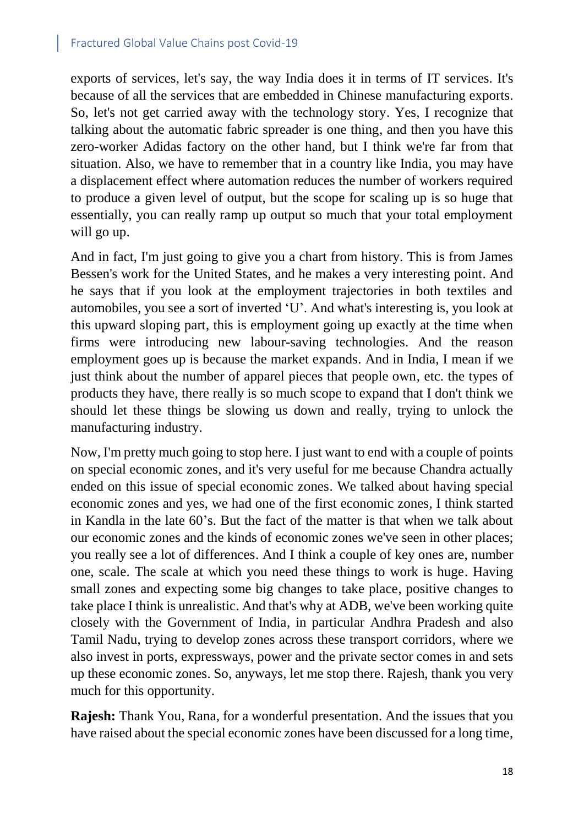exports of services, let's say, the way India does it in terms of IT services. It's because of all the services that are embedded in Chinese manufacturing exports. So, let's not get carried away with the technology story. Yes, I recognize that talking about the automatic fabric spreader is one thing, and then you have this zero-worker Adidas factory on the other hand, but I think we're far from that situation. Also, we have to remember that in a country like India, you may have a displacement effect where automation reduces the number of workers required to produce a given level of output, but the scope for scaling up is so huge that essentially, you can really ramp up output so much that your total employment will go up.

And in fact, I'm just going to give you a chart from history. This is from James Bessen's work for the United States, and he makes a very interesting point. And he says that if you look at the employment trajectories in both textiles and automobiles, you see a sort of inverted 'U'. And what's interesting is, you look at this upward sloping part, this is employment going up exactly at the time when firms were introducing new labour-saving technologies. And the reason employment goes up is because the market expands. And in India, I mean if we just think about the number of apparel pieces that people own, etc. the types of products they have, there really is so much scope to expand that I don't think we should let these things be slowing us down and really, trying to unlock the manufacturing industry.

Now, I'm pretty much going to stop here. I just want to end with a couple of points on special economic zones, and it's very useful for me because Chandra actually ended on this issue of special economic zones. We talked about having special economic zones and yes, we had one of the first economic zones, I think started in Kandla in the late 60's. But the fact of the matter is that when we talk about our economic zones and the kinds of economic zones we've seen in other places; you really see a lot of differences. And I think a couple of key ones are, number one, scale. The scale at which you need these things to work is huge. Having small zones and expecting some big changes to take place, positive changes to take place I think is unrealistic. And that's why at ADB, we've been working quite closely with the Government of India, in particular Andhra Pradesh and also Tamil Nadu, trying to develop zones across these transport corridors, where we also invest in ports, expressways, power and the private sector comes in and sets up these economic zones. So, anyways, let me stop there. Rajesh, thank you very much for this opportunity.

**Rajesh:** Thank You, Rana, for a wonderful presentation. And the issues that you have raised about the special economic zones have been discussed for a long time,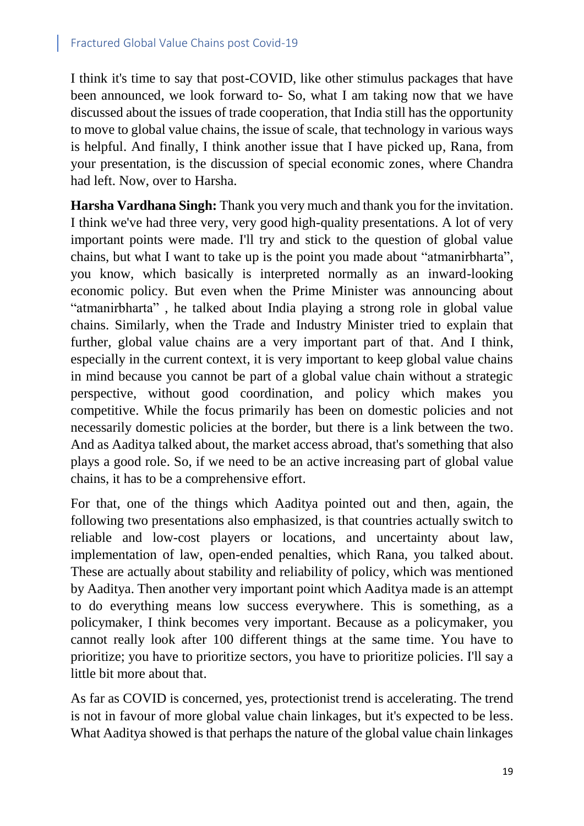I think it's time to say that post-COVID, like other stimulus packages that have been announced, we look forward to- So, what I am taking now that we have discussed about the issues of trade cooperation, that India still has the opportunity to move to global value chains, the issue of scale, that technology in various ways is helpful. And finally, I think another issue that I have picked up, Rana, from your presentation, is the discussion of special economic zones, where Chandra had left. Now, over to Harsha.

**Harsha Vardhana Singh:** Thank you very much and thank you for the invitation. I think we've had three very, very good high-quality presentations. A lot of very important points were made. I'll try and stick to the question of global value chains, but what I want to take up is the point you made about "atmanirbharta", you know, which basically is interpreted normally as an inward-looking economic policy. But even when the Prime Minister was announcing about "atmanirbharta" , he talked about India playing a strong role in global value chains. Similarly, when the Trade and Industry Minister tried to explain that further, global value chains are a very important part of that. And I think, especially in the current context, it is very important to keep global value chains in mind because you cannot be part of a global value chain without a strategic perspective, without good coordination, and policy which makes you competitive. While the focus primarily has been on domestic policies and not necessarily domestic policies at the border, but there is a link between the two. And as Aaditya talked about, the market access abroad, that's something that also plays a good role. So, if we need to be an active increasing part of global value chains, it has to be a comprehensive effort.

For that, one of the things which Aaditya pointed out and then, again, the following two presentations also emphasized, is that countries actually switch to reliable and low-cost players or locations, and uncertainty about law, implementation of law, open-ended penalties, which Rana, you talked about. These are actually about stability and reliability of policy, which was mentioned by Aaditya. Then another very important point which Aaditya made is an attempt to do everything means low success everywhere. This is something, as a policymaker, I think becomes very important. Because as a policymaker, you cannot really look after 100 different things at the same time. You have to prioritize; you have to prioritize sectors, you have to prioritize policies. I'll say a little bit more about that.

As far as COVID is concerned, yes, protectionist trend is accelerating. The trend is not in favour of more global value chain linkages, but it's expected to be less. What Aaditya showed is that perhaps the nature of the global value chain linkages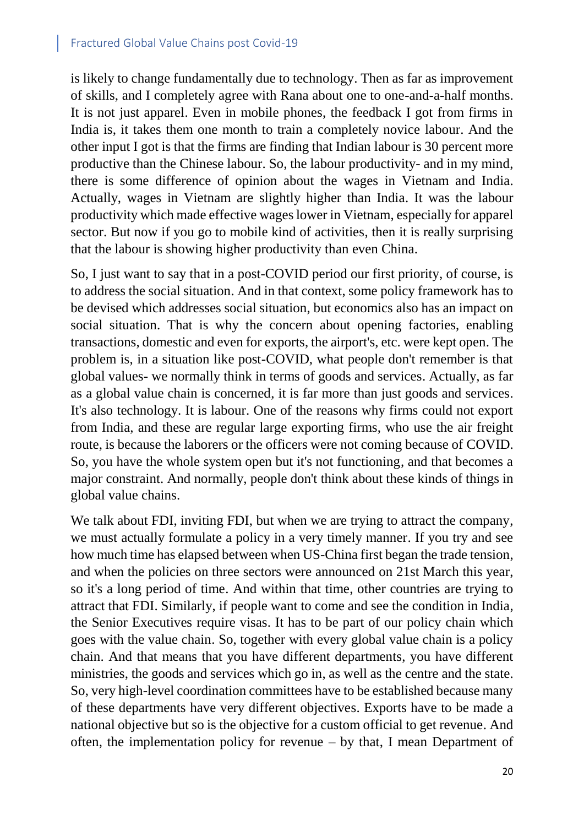is likely to change fundamentally due to technology. Then as far as improvement of skills, and I completely agree with Rana about one to one-and-a-half months. It is not just apparel. Even in mobile phones, the feedback I got from firms in India is, it takes them one month to train a completely novice labour. And the other input I got is that the firms are finding that Indian labour is 30 percent more productive than the Chinese labour. So, the labour productivity- and in my mind, there is some difference of opinion about the wages in Vietnam and India. Actually, wages in Vietnam are slightly higher than India. It was the labour productivity which made effective wages lower in Vietnam, especially for apparel sector. But now if you go to mobile kind of activities, then it is really surprising that the labour is showing higher productivity than even China.

So, I just want to say that in a post-COVID period our first priority, of course, is to address the social situation. And in that context, some policy framework has to be devised which addresses social situation, but economics also has an impact on social situation. That is why the concern about opening factories, enabling transactions, domestic and even for exports, the airport's, etc. were kept open. The problem is, in a situation like post-COVID, what people don't remember is that global values- we normally think in terms of goods and services. Actually, as far as a global value chain is concerned, it is far more than just goods and services. It's also technology. It is labour. One of the reasons why firms could not export from India, and these are regular large exporting firms, who use the air freight route, is because the laborers or the officers were not coming because of COVID. So, you have the whole system open but it's not functioning, and that becomes a major constraint. And normally, people don't think about these kinds of things in global value chains.

We talk about FDI, inviting FDI, but when we are trying to attract the company, we must actually formulate a policy in a very timely manner. If you try and see how much time has elapsed between when US-China first began the trade tension, and when the policies on three sectors were announced on 21st March this year, so it's a long period of time. And within that time, other countries are trying to attract that FDI. Similarly, if people want to come and see the condition in India, the Senior Executives require visas. It has to be part of our policy chain which goes with the value chain. So, together with every global value chain is a policy chain. And that means that you have different departments, you have different ministries, the goods and services which go in, as well as the centre and the state. So, very high-level coordination committees have to be established because many of these departments have very different objectives. Exports have to be made a national objective but so is the objective for a custom official to get revenue. And often, the implementation policy for revenue – by that, I mean Department of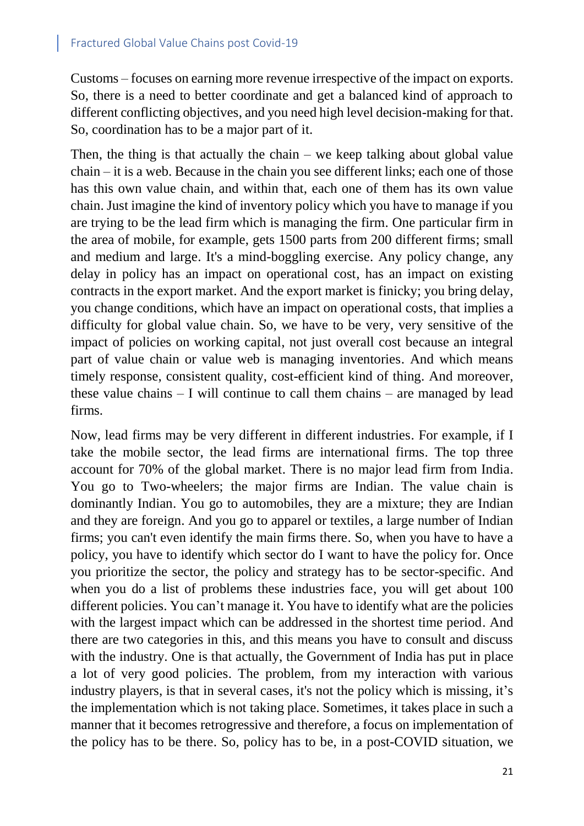Customs – focuses on earning more revenue irrespective of the impact on exports. So, there is a need to better coordinate and get a balanced kind of approach to different conflicting objectives, and you need high level decision-making for that. So, coordination has to be a major part of it.

Then, the thing is that actually the chain – we keep talking about global value chain – it is a web. Because in the chain you see different links; each one of those has this own value chain, and within that, each one of them has its own value chain. Just imagine the kind of inventory policy which you have to manage if you are trying to be the lead firm which is managing the firm. One particular firm in the area of mobile, for example, gets 1500 parts from 200 different firms; small and medium and large. It's a mind-boggling exercise. Any policy change, any delay in policy has an impact on operational cost, has an impact on existing contracts in the export market. And the export market is finicky; you bring delay, you change conditions, which have an impact on operational costs, that implies a difficulty for global value chain. So, we have to be very, very sensitive of the impact of policies on working capital, not just overall cost because an integral part of value chain or value web is managing inventories. And which means timely response, consistent quality, cost-efficient kind of thing. And moreover, these value chains – I will continue to call them chains – are managed by lead firms.

Now, lead firms may be very different in different industries. For example, if I take the mobile sector, the lead firms are international firms. The top three account for 70% of the global market. There is no major lead firm from India. You go to Two-wheelers; the major firms are Indian. The value chain is dominantly Indian. You go to automobiles, they are a mixture; they are Indian and they are foreign. And you go to apparel or textiles, a large number of Indian firms; you can't even identify the main firms there. So, when you have to have a policy, you have to identify which sector do I want to have the policy for. Once you prioritize the sector, the policy and strategy has to be sector-specific. And when you do a list of problems these industries face, you will get about 100 different policies. You can't manage it. You have to identify what are the policies with the largest impact which can be addressed in the shortest time period. And there are two categories in this, and this means you have to consult and discuss with the industry. One is that actually, the Government of India has put in place a lot of very good policies. The problem, from my interaction with various industry players, is that in several cases, it's not the policy which is missing, it's the implementation which is not taking place. Sometimes, it takes place in such a manner that it becomes retrogressive and therefore, a focus on implementation of the policy has to be there. So, policy has to be, in a post-COVID situation, we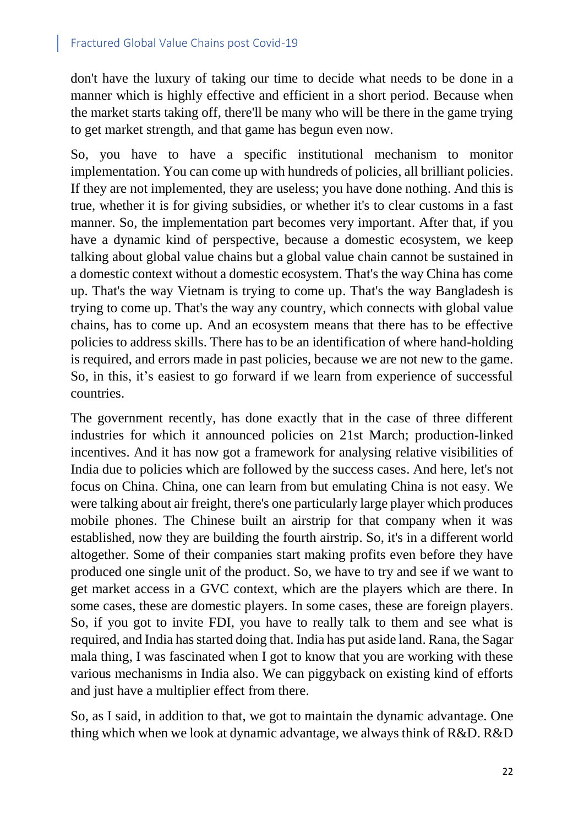don't have the luxury of taking our time to decide what needs to be done in a manner which is highly effective and efficient in a short period. Because when the market starts taking off, there'll be many who will be there in the game trying to get market strength, and that game has begun even now.

So, you have to have a specific institutional mechanism to monitor implementation. You can come up with hundreds of policies, all brilliant policies. If they are not implemented, they are useless; you have done nothing. And this is true, whether it is for giving subsidies, or whether it's to clear customs in a fast manner. So, the implementation part becomes very important. After that, if you have a dynamic kind of perspective, because a domestic ecosystem, we keep talking about global value chains but a global value chain cannot be sustained in a domestic context without a domestic ecosystem. That's the way China has come up. That's the way Vietnam is trying to come up. That's the way Bangladesh is trying to come up. That's the way any country, which connects with global value chains, has to come up. And an ecosystem means that there has to be effective policies to address skills. There has to be an identification of where hand-holding is required, and errors made in past policies, because we are not new to the game. So, in this, it's easiest to go forward if we learn from experience of successful countries.

The government recently, has done exactly that in the case of three different industries for which it announced policies on 21st March; production-linked incentives. And it has now got a framework for analysing relative visibilities of India due to policies which are followed by the success cases. And here, let's not focus on China. China, one can learn from but emulating China is not easy. We were talking about air freight, there's one particularly large player which produces mobile phones. The Chinese built an airstrip for that company when it was established, now they are building the fourth airstrip. So, it's in a different world altogether. Some of their companies start making profits even before they have produced one single unit of the product. So, we have to try and see if we want to get market access in a GVC context, which are the players which are there. In some cases, these are domestic players. In some cases, these are foreign players. So, if you got to invite FDI, you have to really talk to them and see what is required, and India has started doing that. India has put aside land. Rana, the Sagar mala thing, I was fascinated when I got to know that you are working with these various mechanisms in India also. We can piggyback on existing kind of efforts and just have a multiplier effect from there.

So, as I said, in addition to that, we got to maintain the dynamic advantage. One thing which when we look at dynamic advantage, we always think of R&D. R&D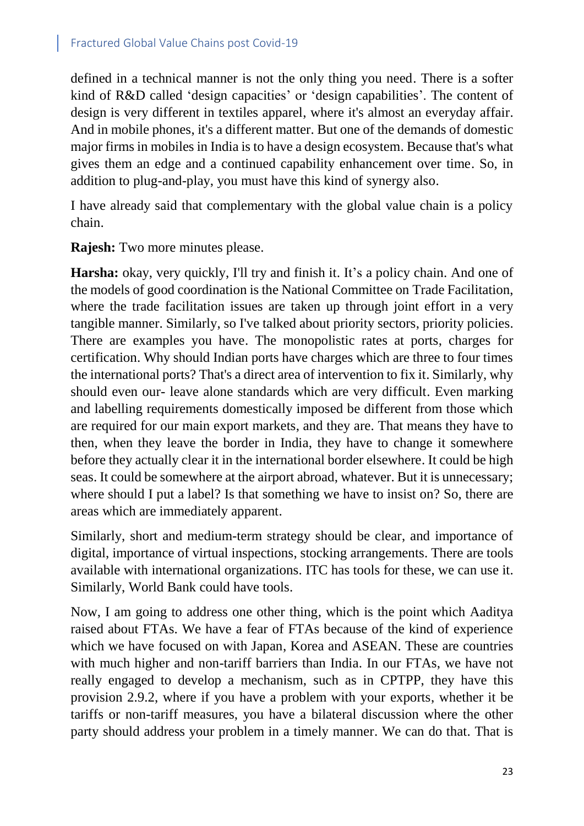defined in a technical manner is not the only thing you need. There is a softer kind of R&D called 'design capacities' or 'design capabilities'. The content of design is very different in textiles apparel, where it's almost an everyday affair. And in mobile phones, it's a different matter. But one of the demands of domestic major firms in mobiles in India is to have a design ecosystem. Because that's what gives them an edge and a continued capability enhancement over time. So, in addition to plug-and-play, you must have this kind of synergy also.

I have already said that complementary with the global value chain is a policy chain.

**Rajesh:** Two more minutes please.

**Harsha:** okay, very quickly, I'll try and finish it. It's a policy chain. And one of the models of good coordination is the National Committee on Trade Facilitation, where the trade facilitation issues are taken up through joint effort in a very tangible manner. Similarly, so I've talked about priority sectors, priority policies. There are examples you have. The monopolistic rates at ports, charges for certification. Why should Indian ports have charges which are three to four times the international ports? That's a direct area of intervention to fix it. Similarly, why should even our- leave alone standards which are very difficult. Even marking and labelling requirements domestically imposed be different from those which are required for our main export markets, and they are. That means they have to then, when they leave the border in India, they have to change it somewhere before they actually clear it in the international border elsewhere. It could be high seas. It could be somewhere at the airport abroad, whatever. But it is unnecessary; where should I put a label? Is that something we have to insist on? So, there are areas which are immediately apparent.

Similarly, short and medium-term strategy should be clear, and importance of digital, importance of virtual inspections, stocking arrangements. There are tools available with international organizations. ITC has tools for these, we can use it. Similarly, World Bank could have tools.

Now, I am going to address one other thing, which is the point which Aaditya raised about FTAs. We have a fear of FTAs because of the kind of experience which we have focused on with Japan, Korea and ASEAN. These are countries with much higher and non-tariff barriers than India. In our FTAs, we have not really engaged to develop a mechanism, such as in CPTPP, they have this provision 2.9.2, where if you have a problem with your exports, whether it be tariffs or non-tariff measures, you have a bilateral discussion where the other party should address your problem in a timely manner. We can do that. That is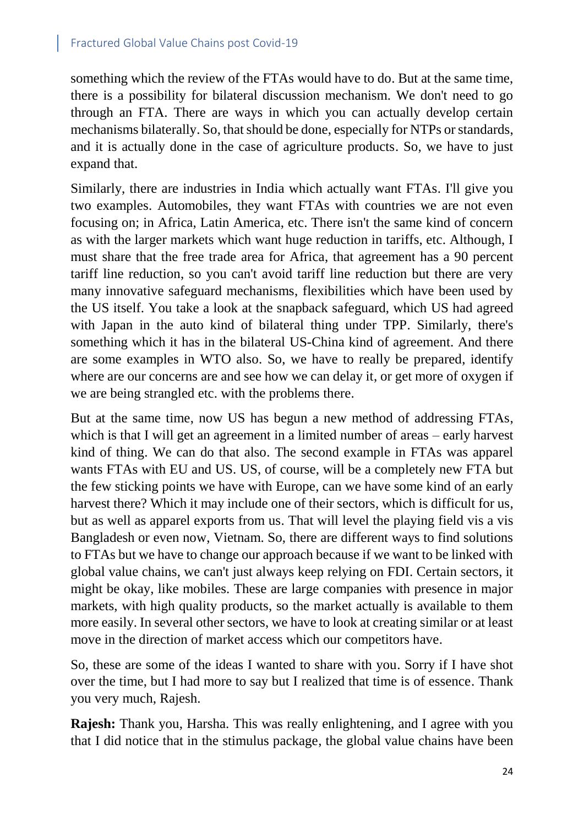something which the review of the FTAs would have to do. But at the same time, there is a possibility for bilateral discussion mechanism. We don't need to go through an FTA. There are ways in which you can actually develop certain mechanisms bilaterally. So, that should be done, especially for NTPs or standards, and it is actually done in the case of agriculture products. So, we have to just expand that.

Similarly, there are industries in India which actually want FTAs. I'll give you two examples. Automobiles, they want FTAs with countries we are not even focusing on; in Africa, Latin America, etc. There isn't the same kind of concern as with the larger markets which want huge reduction in tariffs, etc. Although, I must share that the free trade area for Africa, that agreement has a 90 percent tariff line reduction, so you can't avoid tariff line reduction but there are very many innovative safeguard mechanisms, flexibilities which have been used by the US itself. You take a look at the snapback safeguard, which US had agreed with Japan in the auto kind of bilateral thing under TPP. Similarly, there's something which it has in the bilateral US-China kind of agreement. And there are some examples in WTO also. So, we have to really be prepared, identify where are our concerns are and see how we can delay it, or get more of oxygen if we are being strangled etc. with the problems there.

But at the same time, now US has begun a new method of addressing FTAs, which is that I will get an agreement in a limited number of areas – early harvest kind of thing. We can do that also. The second example in FTAs was apparel wants FTAs with EU and US. US, of course, will be a completely new FTA but the few sticking points we have with Europe, can we have some kind of an early harvest there? Which it may include one of their sectors, which is difficult for us, but as well as apparel exports from us. That will level the playing field vis a vis Bangladesh or even now, Vietnam. So, there are different ways to find solutions to FTAs but we have to change our approach because if we want to be linked with global value chains, we can't just always keep relying on FDI. Certain sectors, it might be okay, like mobiles. These are large companies with presence in major markets, with high quality products, so the market actually is available to them more easily. In several other sectors, we have to look at creating similar or at least move in the direction of market access which our competitors have.

So, these are some of the ideas I wanted to share with you. Sorry if I have shot over the time, but I had more to say but I realized that time is of essence. Thank you very much, Rajesh.

**Rajesh:** Thank you, Harsha. This was really enlightening, and I agree with you that I did notice that in the stimulus package, the global value chains have been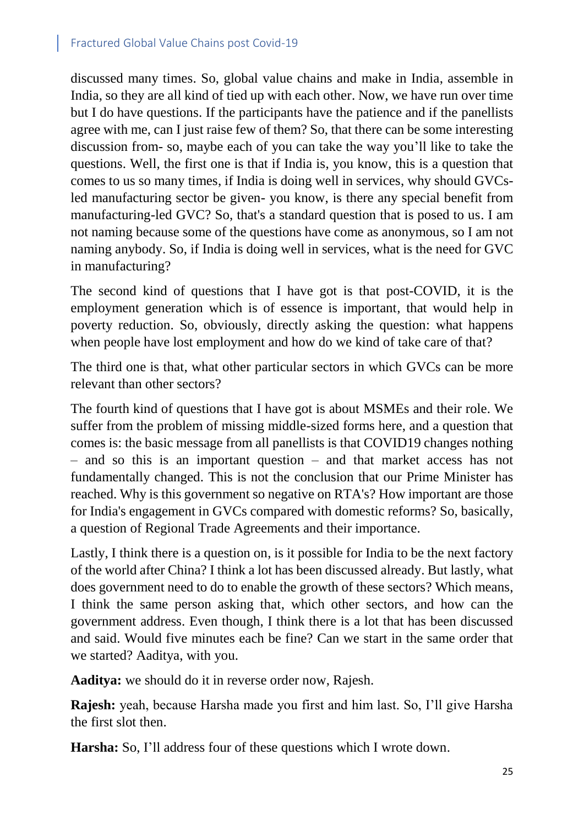discussed many times. So, global value chains and make in India, assemble in India, so they are all kind of tied up with each other. Now, we have run over time but I do have questions. If the participants have the patience and if the panellists agree with me, can I just raise few of them? So, that there can be some interesting discussion from- so, maybe each of you can take the way you'll like to take the questions. Well, the first one is that if India is, you know, this is a question that comes to us so many times, if India is doing well in services, why should GVCsled manufacturing sector be given- you know, is there any special benefit from manufacturing-led GVC? So, that's a standard question that is posed to us. I am not naming because some of the questions have come as anonymous, so I am not naming anybody. So, if India is doing well in services, what is the need for GVC in manufacturing?

The second kind of questions that I have got is that post-COVID, it is the employment generation which is of essence is important, that would help in poverty reduction. So, obviously, directly asking the question: what happens when people have lost employment and how do we kind of take care of that?

The third one is that, what other particular sectors in which GVCs can be more relevant than other sectors?

The fourth kind of questions that I have got is about MSMEs and their role. We suffer from the problem of missing middle-sized forms here, and a question that comes is: the basic message from all panellists is that COVID19 changes nothing – and so this is an important question – and that market access has not fundamentally changed. This is not the conclusion that our Prime Minister has reached. Why is this government so negative on RTA's? How important are those for India's engagement in GVCs compared with domestic reforms? So, basically, a question of Regional Trade Agreements and their importance.

Lastly, I think there is a question on, is it possible for India to be the next factory of the world after China? I think a lot has been discussed already. But lastly, what does government need to do to enable the growth of these sectors? Which means, I think the same person asking that, which other sectors, and how can the government address. Even though, I think there is a lot that has been discussed and said. Would five minutes each be fine? Can we start in the same order that we started? Aaditya, with you.

**Aaditya:** we should do it in reverse order now, Rajesh.

**Rajesh:** yeah, because Harsha made you first and him last. So, I'll give Harsha the first slot then.

**Harsha:** So, I'll address four of these questions which I wrote down.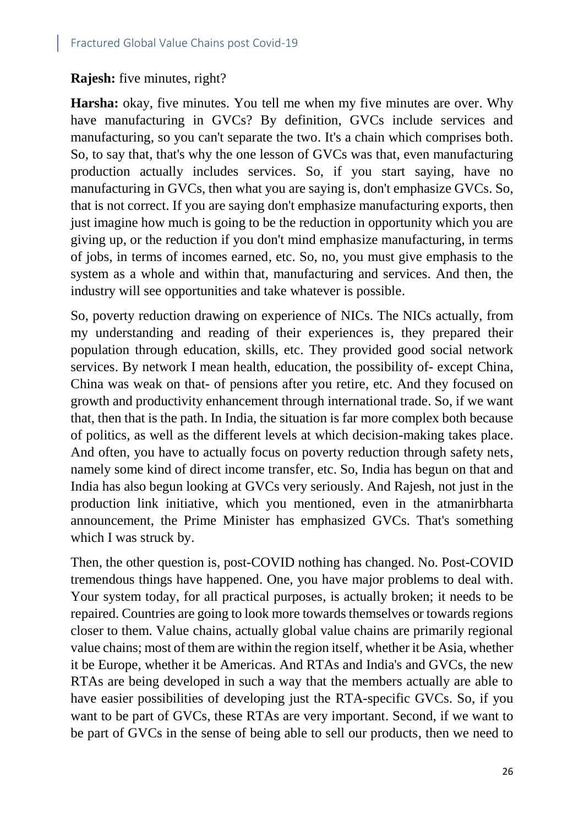#### **Rajesh:** five minutes, right?

**Harsha:** okay, five minutes. You tell me when my five minutes are over. Why have manufacturing in GVCs? By definition, GVCs include services and manufacturing, so you can't separate the two. It's a chain which comprises both. So, to say that, that's why the one lesson of GVCs was that, even manufacturing production actually includes services. So, if you start saying, have no manufacturing in GVCs, then what you are saying is, don't emphasize GVCs. So, that is not correct. If you are saying don't emphasize manufacturing exports, then just imagine how much is going to be the reduction in opportunity which you are giving up, or the reduction if you don't mind emphasize manufacturing, in terms of jobs, in terms of incomes earned, etc. So, no, you must give emphasis to the system as a whole and within that, manufacturing and services. And then, the industry will see opportunities and take whatever is possible.

So, poverty reduction drawing on experience of NICs. The NICs actually, from my understanding and reading of their experiences is, they prepared their population through education, skills, etc. They provided good social network services. By network I mean health, education, the possibility of- except China, China was weak on that- of pensions after you retire, etc. And they focused on growth and productivity enhancement through international trade. So, if we want that, then that is the path. In India, the situation is far more complex both because of politics, as well as the different levels at which decision-making takes place. And often, you have to actually focus on poverty reduction through safety nets, namely some kind of direct income transfer, etc. So, India has begun on that and India has also begun looking at GVCs very seriously. And Rajesh, not just in the production link initiative, which you mentioned, even in the atmanirbharta announcement, the Prime Minister has emphasized GVCs. That's something which I was struck by.

Then, the other question is, post-COVID nothing has changed. No. Post-COVID tremendous things have happened. One, you have major problems to deal with. Your system today, for all practical purposes, is actually broken; it needs to be repaired. Countries are going to look more towards themselves or towards regions closer to them. Value chains, actually global value chains are primarily regional value chains; most of them are within the region itself, whether it be Asia, whether it be Europe, whether it be Americas. And RTAs and India's and GVCs, the new RTAs are being developed in such a way that the members actually are able to have easier possibilities of developing just the RTA-specific GVCs. So, if you want to be part of GVCs, these RTAs are very important. Second, if we want to be part of GVCs in the sense of being able to sell our products, then we need to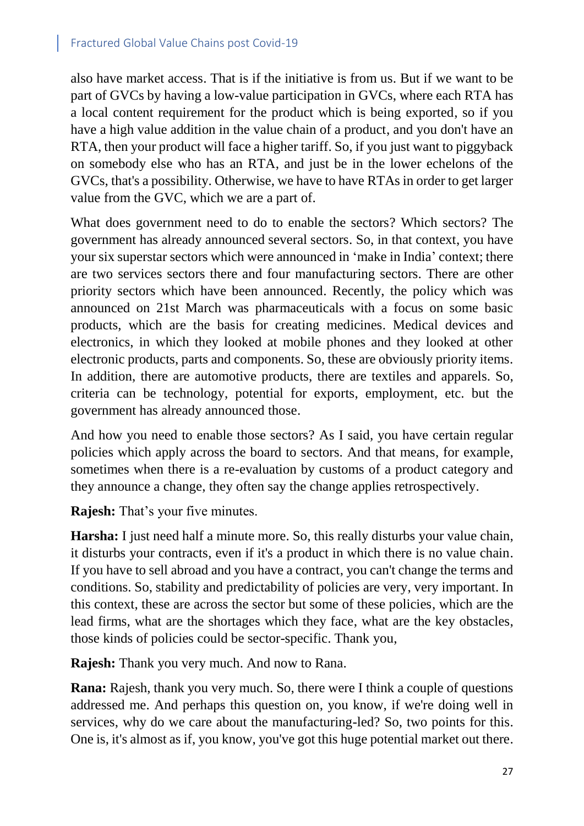also have market access. That is if the initiative is from us. But if we want to be part of GVCs by having a low-value participation in GVCs, where each RTA has a local content requirement for the product which is being exported, so if you have a high value addition in the value chain of a product, and you don't have an RTA, then your product will face a higher tariff. So, if you just want to piggyback on somebody else who has an RTA, and just be in the lower echelons of the GVCs, that's a possibility. Otherwise, we have to have RTAs in order to get larger value from the GVC, which we are a part of.

What does government need to do to enable the sectors? Which sectors? The government has already announced several sectors. So, in that context, you have your six superstar sectors which were announced in 'make in India' context; there are two services sectors there and four manufacturing sectors. There are other priority sectors which have been announced. Recently, the policy which was announced on 21st March was pharmaceuticals with a focus on some basic products, which are the basis for creating medicines. Medical devices and electronics, in which they looked at mobile phones and they looked at other electronic products, parts and components. So, these are obviously priority items. In addition, there are automotive products, there are textiles and apparels. So, criteria can be technology, potential for exports, employment, etc. but the government has already announced those.

And how you need to enable those sectors? As I said, you have certain regular policies which apply across the board to sectors. And that means, for example, sometimes when there is a re-evaluation by customs of a product category and they announce a change, they often say the change applies retrospectively.

**Rajesh:** That's your five minutes.

**Harsha:** I just need half a minute more. So, this really disturbs your value chain, it disturbs your contracts, even if it's a product in which there is no value chain. If you have to sell abroad and you have a contract, you can't change the terms and conditions. So, stability and predictability of policies are very, very important. In this context, these are across the sector but some of these policies, which are the lead firms, what are the shortages which they face, what are the key obstacles, those kinds of policies could be sector-specific. Thank you,

**Rajesh:** Thank you very much. And now to Rana.

**Rana:** Rajesh, thank you very much. So, there were I think a couple of questions addressed me. And perhaps this question on, you know, if we're doing well in services, why do we care about the manufacturing-led? So, two points for this. One is, it's almost as if, you know, you've got this huge potential market out there.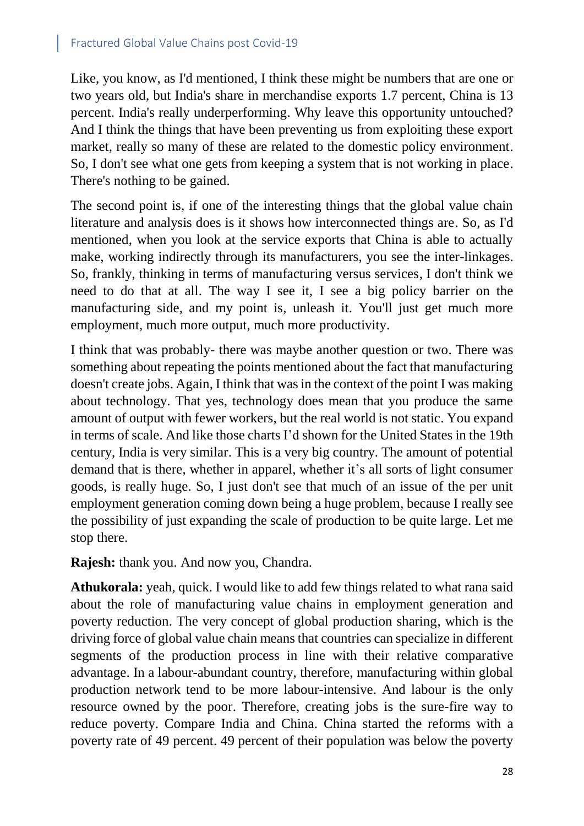Like, you know, as I'd mentioned, I think these might be numbers that are one or two years old, but India's share in merchandise exports 1.7 percent, China is 13 percent. India's really underperforming. Why leave this opportunity untouched? And I think the things that have been preventing us from exploiting these export market, really so many of these are related to the domestic policy environment. So, I don't see what one gets from keeping a system that is not working in place. There's nothing to be gained.

The second point is, if one of the interesting things that the global value chain literature and analysis does is it shows how interconnected things are. So, as I'd mentioned, when you look at the service exports that China is able to actually make, working indirectly through its manufacturers, you see the inter-linkages. So, frankly, thinking in terms of manufacturing versus services, I don't think we need to do that at all. The way I see it, I see a big policy barrier on the manufacturing side, and my point is, unleash it. You'll just get much more employment, much more output, much more productivity.

I think that was probably- there was maybe another question or two. There was something about repeating the points mentioned about the fact that manufacturing doesn't create jobs. Again, I think that was in the context of the point I was making about technology. That yes, technology does mean that you produce the same amount of output with fewer workers, but the real world is not static. You expand in terms of scale. And like those charts I'd shown for the United States in the 19th century, India is very similar. This is a very big country. The amount of potential demand that is there, whether in apparel, whether it's all sorts of light consumer goods, is really huge. So, I just don't see that much of an issue of the per unit employment generation coming down being a huge problem, because I really see the possibility of just expanding the scale of production to be quite large. Let me stop there.

**Rajesh:** thank you. And now you, Chandra.

**Athukorala:** yeah, quick. I would like to add few things related to what rana said about the role of manufacturing value chains in employment generation and poverty reduction. The very concept of global production sharing, which is the driving force of global value chain means that countries can specialize in different segments of the production process in line with their relative comparative advantage. In a labour-abundant country, therefore, manufacturing within global production network tend to be more labour-intensive. And labour is the only resource owned by the poor. Therefore, creating jobs is the sure-fire way to reduce poverty. Compare India and China. China started the reforms with a poverty rate of 49 percent. 49 percent of their population was below the poverty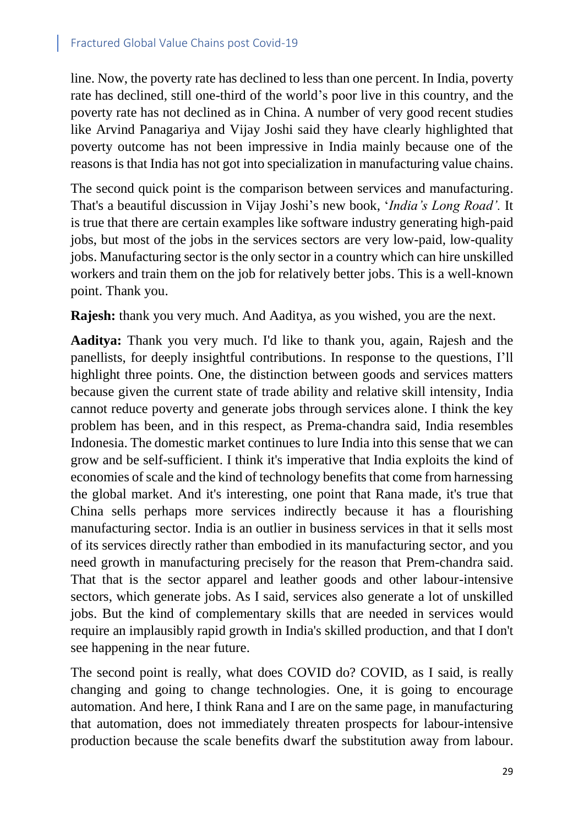line. Now, the poverty rate has declined to less than one percent. In India, poverty rate has declined, still one-third of the world's poor live in this country, and the poverty rate has not declined as in China. A number of very good recent studies like Arvind Panagariya and Vijay Joshi said they have clearly highlighted that poverty outcome has not been impressive in India mainly because one of the reasons is that India has not got into specialization in manufacturing value chains.

The second quick point is the comparison between services and manufacturing. That's a beautiful discussion in Vijay Joshi's new book, '*India's Long Road'.* It is true that there are certain examples like software industry generating high-paid jobs, but most of the jobs in the services sectors are very low-paid, low-quality jobs. Manufacturing sector is the only sector in a country which can hire unskilled workers and train them on the job for relatively better jobs. This is a well-known point. Thank you.

**Rajesh:** thank you very much. And Aaditya, as you wished, you are the next.

**Aaditya:** Thank you very much. I'd like to thank you, again, Rajesh and the panellists, for deeply insightful contributions. In response to the questions, I'll highlight three points. One, the distinction between goods and services matters because given the current state of trade ability and relative skill intensity, India cannot reduce poverty and generate jobs through services alone. I think the key problem has been, and in this respect, as Prema-chandra said, India resembles Indonesia. The domestic market continues to lure India into this sense that we can grow and be self-sufficient. I think it's imperative that India exploits the kind of economies of scale and the kind of technology benefits that come from harnessing the global market. And it's interesting, one point that Rana made, it's true that China sells perhaps more services indirectly because it has a flourishing manufacturing sector. India is an outlier in business services in that it sells most of its services directly rather than embodied in its manufacturing sector, and you need growth in manufacturing precisely for the reason that Prem-chandra said. That that is the sector apparel and leather goods and other labour-intensive sectors, which generate jobs. As I said, services also generate a lot of unskilled jobs. But the kind of complementary skills that are needed in services would require an implausibly rapid growth in India's skilled production, and that I don't see happening in the near future.

The second point is really, what does COVID do? COVID, as I said, is really changing and going to change technologies. One, it is going to encourage automation. And here, I think Rana and I are on the same page, in manufacturing that automation, does not immediately threaten prospects for labour-intensive production because the scale benefits dwarf the substitution away from labour.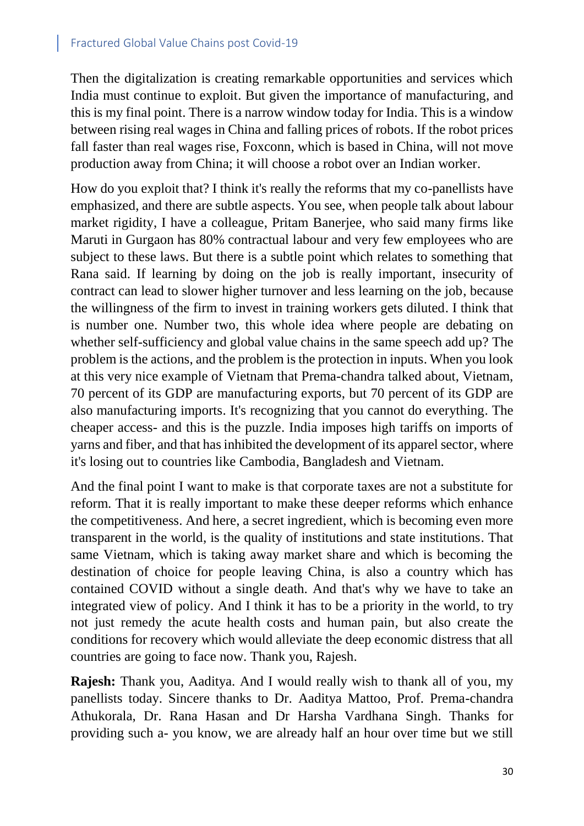Then the digitalization is creating remarkable opportunities and services which India must continue to exploit. But given the importance of manufacturing, and this is my final point. There is a narrow window today for India. This is a window between rising real wages in China and falling prices of robots. If the robot prices fall faster than real wages rise, Foxconn, which is based in China, will not move production away from China; it will choose a robot over an Indian worker.

How do you exploit that? I think it's really the reforms that my co-panellists have emphasized, and there are subtle aspects. You see, when people talk about labour market rigidity, I have a colleague, Pritam Banerjee, who said many firms like Maruti in Gurgaon has 80% contractual labour and very few employees who are subject to these laws. But there is a subtle point which relates to something that Rana said. If learning by doing on the job is really important, insecurity of contract can lead to slower higher turnover and less learning on the job, because the willingness of the firm to invest in training workers gets diluted. I think that is number one. Number two, this whole idea where people are debating on whether self-sufficiency and global value chains in the same speech add up? The problem is the actions, and the problem is the protection in inputs. When you look at this very nice example of Vietnam that Prema-chandra talked about, Vietnam, 70 percent of its GDP are manufacturing exports, but 70 percent of its GDP are also manufacturing imports. It's recognizing that you cannot do everything. The cheaper access- and this is the puzzle. India imposes high tariffs on imports of yarns and fiber, and that hasinhibited the development of its apparel sector, where it's losing out to countries like Cambodia, Bangladesh and Vietnam.

And the final point I want to make is that corporate taxes are not a substitute for reform. That it is really important to make these deeper reforms which enhance the competitiveness. And here, a secret ingredient, which is becoming even more transparent in the world, is the quality of institutions and state institutions. That same Vietnam, which is taking away market share and which is becoming the destination of choice for people leaving China, is also a country which has contained COVID without a single death. And that's why we have to take an integrated view of policy. And I think it has to be a priority in the world, to try not just remedy the acute health costs and human pain, but also create the conditions for recovery which would alleviate the deep economic distress that all countries are going to face now. Thank you, Rajesh.

**Rajesh:** Thank you, Aaditya. And I would really wish to thank all of you, my panellists today. Sincere thanks to Dr. Aaditya Mattoo, Prof. Prema-chandra Athukorala, Dr. Rana Hasan and Dr Harsha Vardhana Singh. Thanks for providing such a- you know, we are already half an hour over time but we still